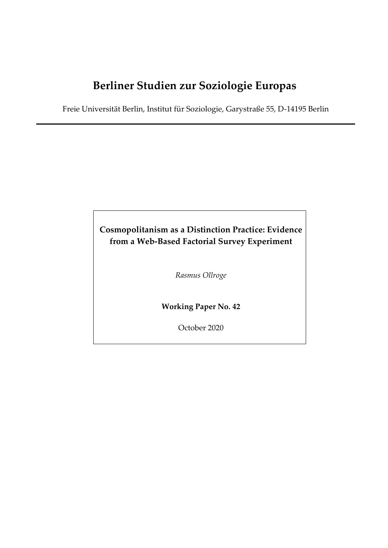# **Berliner Studien zur Soziologie Europas**

Freie Universität Berlin, Institut für Soziologie, Garystraße 55, D-14195 Berlin

# **Cosmopolitanism as a Distinction Practice: Evidence from a Web-Based Factorial Survey Experiment**

*Rasmus Ollroge*

**Working Paper No. 42**

October 2020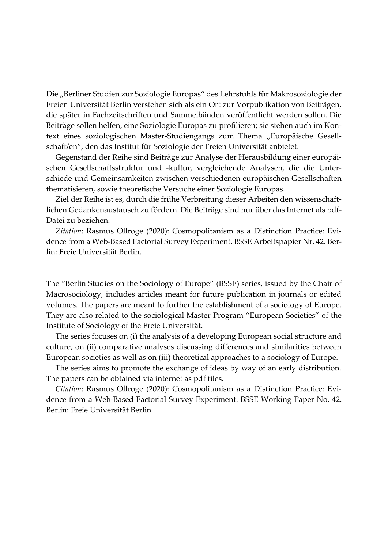Die "Berliner Studien zur Soziologie Europas" des Lehrstuhls für Makrosoziologie der Freien Universität Berlin verstehen sich als ein Ort zur Vorpublikation von Beiträgen, die später in Fachzeitschriften und Sammelbänden veröffentlicht werden sollen. Die Beiträge sollen helfen, eine Soziologie Europas zu profilieren; sie stehen auch im Kontext eines soziologischen Master-Studiengangs zum Thema "Europäische Gesellschaft/en", den das Institut für Soziologie der Freien Universität anbietet.

Gegenstand der Reihe sind Beiträge zur Analyse der Herausbildung einer europäischen Gesellschaftsstruktur und -kultur, vergleichende Analysen, die die Unterschiede und Gemeinsamkeiten zwischen verschiedenen europäischen Gesellschaften thematisieren, sowie theoretische Versuche einer Soziologie Europas.

Ziel der Reihe ist es, durch die frühe Verbreitung dieser Arbeiten den wissenschaftlichen Gedankenaustausch zu fördern. Die Beiträge sind nur über das Internet als pdf-Datei zu beziehen.

*Zitation*: Rasmus Ollroge (2020): Cosmopolitanism as a Distinction Practice: Evidence from a Web-Based Factorial Survey Experiment. BSSE Arbeitspapier Nr. 42. Berlin: Freie Universität Berlin.

The "Berlin Studies on the Sociology of Europe" (BSSE) series, issued by the Chair of Macrosociology, includes articles meant for future publication in journals or edited volumes. The papers are meant to further the establishment of a sociology of Europe. They are also related to the sociological Master Program "European Societies" of the Institute of Sociology of the Freie Universität.

The series focuses on (i) the analysis of a developing European social structure and culture, on (ii) comparative analyses discussing differences and similarities between European societies as well as on (iii) theoretical approaches to a sociology of Europe.

The series aims to promote the exchange of ideas by way of an early distribution. The papers can be obtained via internet as pdf files.

*Citation*: Rasmus Ollroge (2020): Cosmopolitanism as a Distinction Practice: Evidence from a Web-Based Factorial Survey Experiment. BSSE Working Paper No. 42. Berlin: Freie Universität Berlin.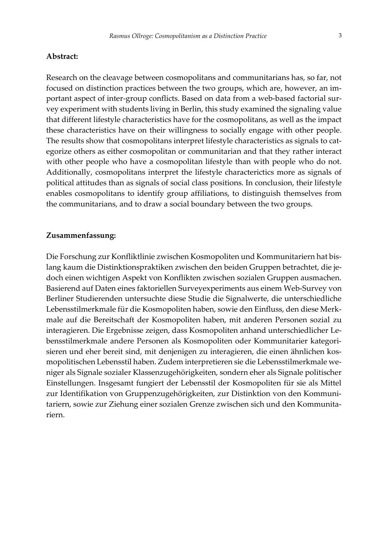#### **Abstract:**

Research on the cleavage between cosmopolitans and communitarians has, so far, not focused on distinction practices between the two groups, which are, however, an important aspect of inter-group conflicts. Based on data from a web-based factorial survey experiment with students living in Berlin, this study examined the signaling value that different lifestyle characteristics have for the cosmopolitans, as well as the impact these characteristics have on their willingness to socially engage with other people. The results show that cosmopolitans interpret lifestyle characteristics as signals to categorize others as either cosmopolitan or communitarian and that they rather interact with other people who have a cosmopolitan lifestyle than with people who do not. Additionally, cosmopolitans interpret the lifestyle characterictics more as signals of political attitudes than as signals of social class positions. In conclusion, their lifestyle enables cosmopolitans to identify group affiliations, to distinguish themselves from the communitarians, and to draw a social boundary between the two groups.

#### **Zusammenfassung:**

Die Forschung zur Konfliktlinie zwischen Kosmopoliten und Kommunitariern hat bislang kaum die Distinktionspraktiken zwischen den beiden Gruppen betrachtet, die jedoch einen wichtigen Aspekt von Konflikten zwischen sozialen Gruppen ausmachen. Basierend auf Daten eines faktoriellen Surveyexperiments aus einem Web-Survey von Berliner Studierenden untersuchte diese Studie die Signalwerte, die unterschiedliche Lebensstilmerkmale für die Kosmopoliten haben, sowie den Einfluss, den diese Merkmale auf die Bereitschaft der Kosmopoliten haben, mit anderen Personen sozial zu interagieren. Die Ergebnisse zeigen, dass Kosmopoliten anhand unterschiedlicher Lebensstilmerkmale andere Personen als Kosmopoliten oder Kommunitarier kategorisieren und eher bereit sind, mit denjenigen zu interagieren, die einen ähnlichen kosmopolitischen Lebensstil haben. Zudem interpretieren sie die Lebensstilmerkmale weniger als Signale sozialer Klassenzugehörigkeiten, sondern eher als Signale politischer Einstellungen. Insgesamt fungiert der Lebensstil der Kosmopoliten für sie als Mittel zur Identifikation von Gruppenzugehörigkeiten, zur Distinktion von den Kommunitariern, sowie zur Ziehung einer sozialen Grenze zwischen sich und den Kommunitariern.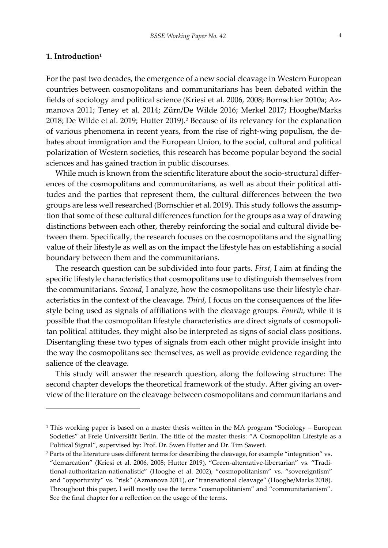# **1. Introduction<sup>1</sup>**

l

For the past two decades, the emergence of a new social cleavage in Western European countries between cosmopolitans and communitarians has been debated within the fields of sociology and political science (Kriesi et al. 2006, 2008; Bornschier 2010a; Azmanova 2011; Teney et al. 2014; Zürn/De Wilde 2016; Merkel 2017; Hooghe/Marks 2018; De Wilde et al. 2019; Hutter 2019).<sup>2</sup> Because of its relevancy for the explanation of various phenomena in recent years, from the rise of right-wing populism, the debates about immigration and the European Union, to the social, cultural and political polarization of Western societies, this research has become popular beyond the social sciences and has gained traction in public discourses.

While much is known from the scientific literature about the socio-structural differences of the cosmopolitans and communitarians, as well as about their political attitudes and the parties that represent them, the cultural differences between the two groups are less well researched (Bornschier et al. 2019). This study follows the assumption that some of these cultural differences function for the groups as a way of drawing distinctions between each other, thereby reinforcing the social and cultural divide between them. Specifically, the research focuses on the cosmopolitans and the signalling value of their lifestyle as well as on the impact the lifestyle has on establishing a social boundary between them and the communitarians.

The research question can be subdivided into four parts. *First*, I aim at finding the specific lifestyle characteristics that cosmopolitans use to distinguish themselves from the communitarians. *Second*, I analyze, how the cosmopolitans use their lifestyle characteristics in the context of the cleavage. *Third*, I focus on the consequences of the lifestyle being used as signals of affiliations with the cleavage groups. *Fourth*, while it is possible that the cosmopolitan lifestyle characteristics are direct signals of cosmopolitan political attitudes, they might also be interpreted as signs of social class positions. Disentangling these two types of signals from each other might provide insight into the way the cosmopolitans see themselves, as well as provide evidence regarding the salience of the cleavage.

This study will answer the research question, along the following structure: The second chapter develops the theoretical framework of the study. After giving an overview of the literature on the cleavage between cosmopolitans and communitarians and

<sup>&</sup>lt;sup>1</sup> This working paper is based on a master thesis written in the MA program "Sociology – European Societies" at Freie Universität Berlin. The title of the master thesis: "A Cosmopolitan Lifestyle as a Political Signal", supervised by: Prof. Dr. Swen Hutter and Dr. Tim Sawert.

<sup>2</sup> Parts of the literature uses different terms for describing the cleavage, for example "integration" vs. "demarcation" (Kriesi et al. 2006, 2008; Hutter 2019), "Green-alternative-libertarian" vs. "Traditional-authoritarian-nationalistic" (Hooghe et al. 2002), "cosmopolitanism" vs. "sovereigntism" and "opportunity" vs. "risk" (Azmanova 2011), or "transnational cleavage" (Hooghe/Marks 2018). Throughout this paper, I will mostly use the terms "cosmopolitanism" and "communitarianism". See the final chapter for a reflection on the usage of the terms.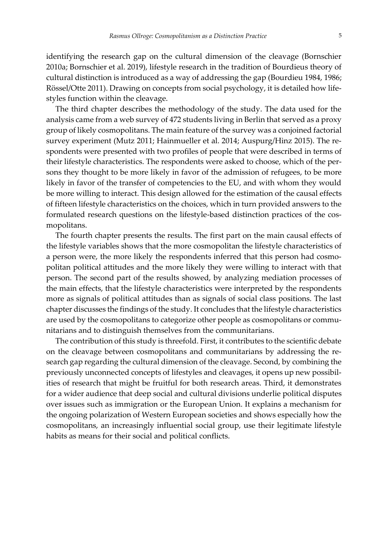identifying the research gap on the cultural dimension of the cleavage (Bornschier 2010a; Bornschier et al. 2019), lifestyle research in the tradition of Bourdieus theory of cultural distinction is introduced as a way of addressing the gap (Bourdieu 1984, 1986; Rössel/Otte 2011). Drawing on concepts from social psychology, it is detailed how lifestyles function within the cleavage.

The third chapter describes the methodology of the study. The data used for the analysis came from a web survey of 472 students living in Berlin that served as a proxy group of likely cosmopolitans. The main feature of the survey was a conjoined factorial survey experiment (Mutz 2011; Hainmueller et al. 2014; Auspurg/Hinz 2015). The respondents were presented with two profiles of people that were described in terms of their lifestyle characteristics. The respondents were asked to choose, which of the persons they thought to be more likely in favor of the admission of refugees, to be more likely in favor of the transfer of competencies to the EU, and with whom they would be more willing to interact. This design allowed for the estimation of the causal effects of fifteen lifestyle characteristics on the choices, which in turn provided answers to the formulated research questions on the lifestyle-based distinction practices of the cosmopolitans.

The fourth chapter presents the results. The first part on the main causal effects of the lifestyle variables shows that the more cosmopolitan the lifestyle characteristics of a person were, the more likely the respondents inferred that this person had cosmopolitan political attitudes and the more likely they were willing to interact with that person. The second part of the results showed, by analyzing mediation processes of the main effects, that the lifestyle characteristics were interpreted by the respondents more as signals of political attitudes than as signals of social class positions. The last chapter discusses the findings of the study. It concludes that the lifestyle characteristics are used by the cosmopolitans to categorize other people as cosmopolitans or communitarians and to distinguish themselves from the communitarians.

The contribution of this study is threefold. First, it contributes to the scientific debate on the cleavage between cosmopolitans and communitarians by addressing the research gap regarding the cultural dimension of the cleavage. Second, by combining the previously unconnected concepts of lifestyles and cleavages, it opens up new possibilities of research that might be fruitful for both research areas. Third, it demonstrates for a wider audience that deep social and cultural divisions underlie political disputes over issues such as immigration or the European Union. It explains a mechanism for the ongoing polarization of Western European societies and shows especially how the cosmopolitans, an increasingly influential social group, use their legitimate lifestyle habits as means for their social and political conflicts.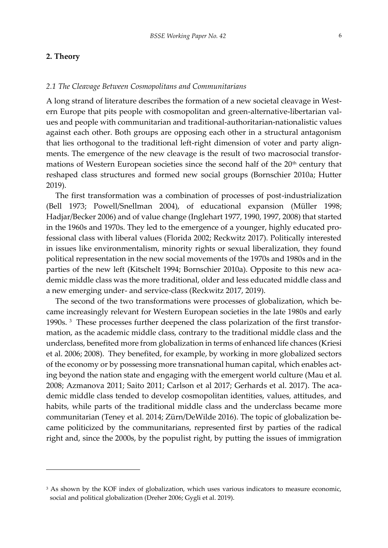# **2. Theory**

l

# *2.1 The Cleavage Between Cosmopolitans and Communitarians*

A long strand of literature describes the formation of a new societal cleavage in Western Europe that pits people with cosmopolitan and green-alternative-libertarian values and people with communitarian and traditional-authoritarian-nationalistic values against each other. Both groups are opposing each other in a structural antagonism that lies orthogonal to the traditional left-right dimension of voter and party alignments. The emergence of the new cleavage is the result of two macrosocial transformations of Western European societies since the second half of the 20<sup>th</sup> century that reshaped class structures and formed new social groups (Bornschier 2010a; Hutter 2019).

The first transformation was a combination of processes of post-industrialization (Bell 1973; Powell/Snellman 2004), of educational expansion (Müller 1998; Hadjar/Becker 2006) and of value change (Inglehart 1977, 1990, 1997, 2008) that started in the 1960s and 1970s. They led to the emergence of a younger, highly educated professional class with liberal values (Florida 2002; Reckwitz 2017). Politically interested in issues like environmentalism, minority rights or sexual liberalization, they found political representation in the new social movements of the 1970s and 1980s and in the parties of the new left (Kitschelt 1994; Bornschier 2010a). Opposite to this new academic middle class was the more traditional, older and less educated middle class and a new emerging under- and service-class (Reckwitz 2017, 2019).

The second of the two transformations were processes of globalization, which became increasingly relevant for Western European societies in the late 1980s and early 1990s. <sup>3</sup> These processes further deepened the class polarization of the first transformation, as the academic middle class, contrary to the traditional middle class and the underclass, benefited more from globalization in terms of enhanced life chances (Kriesi et al. 2006; 2008). They benefited, for example, by working in more globalized sectors of the economy or by possessing more transnational human capital, which enables acting beyond the nation state and engaging with the emergent world culture (Mau et al. 2008; Azmanova 2011; Saito 2011; Carlson et al 2017; Gerhards et al. 2017). The academic middle class tended to develop cosmopolitan identities, values, attitudes, and habits, while parts of the traditional middle class and the underclass became more communitarian (Teney et al. 2014; Zürn/DeWilde 2016). The topic of globalization became politicized by the communitarians, represented first by parties of the radical right and, since the 2000s, by the populist right, by putting the issues of immigration

<sup>&</sup>lt;sup>3</sup> As shown by the KOF index of globalization, which uses various indicators to measure economic, social and political globalization (Dreher 2006; Gygli et al. 2019).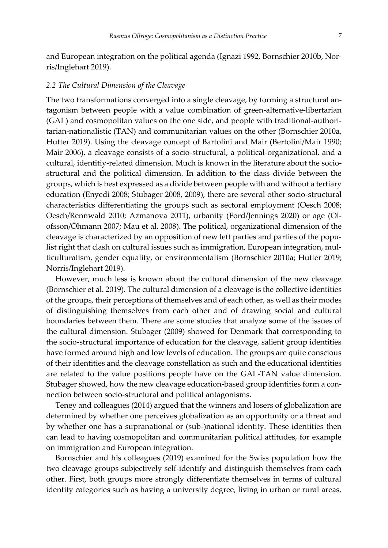and European integration on the political agenda (Ignazi 1992, Bornschier 2010b, Norris/Inglehart 2019).

# *2.2 The Cultural Dimension of the Cleavage*

The two transformations converged into a single cleavage, by forming a structural antagonism between people with a value combination of green-alternative-libertarian (GAL) and cosmopolitan values on the one side, and people with traditional-authoritarian-nationalistic (TAN) and communitarian values on the other (Bornschier 2010a, Hutter 2019). Using the cleavage concept of Bartolini and Mair (Bertolini/Mair 1990; Mair 2006), a cleavage consists of a socio-structural, a political-organizational, and a cultural, identitiy-related dimension. Much is known in the literature about the sociostructural and the political dimension. In addition to the class divide between the groups, which is best expressed as a divide between people with and without a tertiary education (Enyedi 2008; Stubager 2008, 2009), there are several other socio-structural characteristics differentiating the groups such as sectoral employment (Oesch 2008; Oesch/Rennwald 2010; Azmanova 2011), urbanity (Ford/Jennings 2020) or age (Olofsson/Öhmann 2007; Mau et al. 2008). The political, organizational dimension of the cleavage is characterized by an opposition of new left parties and parties of the populist right that clash on cultural issues such as immigration, European integration, multiculturalism, gender equality, or environmentalism (Bornschier 2010a; Hutter 2019; Norris/Inglehart 2019).

However, much less is known about the cultural dimension of the new cleavage (Bornschier et al. 2019). The cultural dimension of a cleavage is the collective identities of the groups, their perceptions of themselves and of each other, as well as their modes of distinguishing themselves from each other and of drawing social and cultural boundaries between them. There are some studies that analyze some of the issues of the cultural dimension. Stubager (2009) showed for Denmark that corresponding to the socio-structural importance of education for the cleavage, salient group identities have formed around high and low levels of education. The groups are quite conscious of their identities and the cleavage constellation as such and the educational identities are related to the value positions people have on the GAL-TAN value dimension. Stubager showed, how the new cleavage education-based group identities form a connection between socio-structural and political antagonisms.

Teney and colleagues (2014) argued that the winners and losers of globalization are determined by whether one perceives globalization as an opportunity or a threat and by whether one has a supranational or (sub-)national identity. These identities then can lead to having cosmopolitan and communitarian political attitudes, for example on immigration and European integration.

Bornschier and his colleagues (2019) examined for the Swiss population how the two cleavage groups subjectively self-identify and distinguish themselves from each other. First, both groups more strongly differentiate themselves in terms of cultural identity categories such as having a university degree, living in urban or rural areas,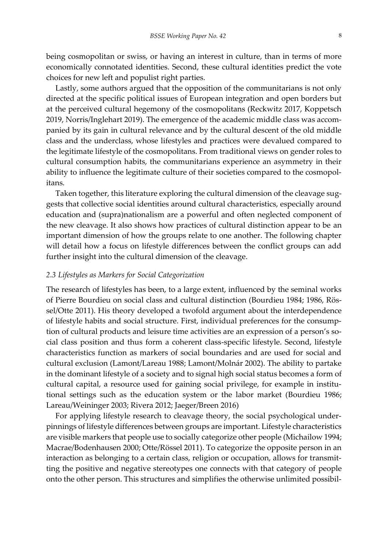being cosmopolitan or swiss, or having an interest in culture, than in terms of more economically connotated identities. Second, these cultural identities predict the vote choices for new left and populist right parties.

Lastly, some authors argued that the opposition of the communitarians is not only directed at the specific political issues of European integration and open borders but at the perceived cultural hegemony of the cosmopolitans (Reckwitz 2017, Koppetsch 2019, Norris/Inglehart 2019). The emergence of the academic middle class was accompanied by its gain in cultural relevance and by the cultural descent of the old middle class and the underclass, whose lifestyles and practices were devalued compared to the legitimate lifestyle of the cosmopolitans. From traditional views on gender roles to cultural consumption habits, the communitarians experience an asymmetry in their ability to influence the legitimate culture of their societies compared to the cosmopolitans.

Taken together, this literature exploring the cultural dimension of the cleavage suggests that collective social identities around cultural characteristics, especially around education and (supra)nationalism are a powerful and often neglected component of the new cleavage. It also shows how practices of cultural distinction appear to be an important dimension of how the groups relate to one another. The following chapter will detail how a focus on lifestyle differences between the conflict groups can add further insight into the cultural dimension of the cleavage.

#### *2.3 Lifestyles as Markers for Social Categorization*

The research of lifestyles has been, to a large extent, influenced by the seminal works of Pierre Bourdieu on social class and cultural distinction (Bourdieu 1984; 1986, Rössel/Otte 2011). His theory developed a twofold argument about the interdependence of lifestyle habits and social structure. First, individual preferences for the consumption of cultural products and leisure time activities are an expression of a person's social class position and thus form a coherent class-specific lifestyle. Second, lifestyle characteristics function as markers of social boundaries and are used for social and cultural exclusion (Lamont/Lareau 1988; Lamont/Molnár 2002). The ability to partake in the dominant lifestyle of a society and to signal high social status becomes a form of cultural capital, a resource used for gaining social privilege, for example in institutional settings such as the education system or the labor market (Bourdieu 1986; Lareau/Weininger 2003; Rivera 2012; Jaeger/Breen 2016)

For applying lifestyle research to cleavage theory, the social psychological underpinnings of lifestyle differences between groups are important. Lifestyle characteristics are visible markers that people use to socially categorize other people (Michailow 1994; Macrae/Bodenhausen 2000; Otte/Rössel 2011). To categorize the opposite person in an interaction as belonging to a certain class, religion or occupation, allows for transmitting the positive and negative stereotypes one connects with that category of people onto the other person. This structures and simplifies the otherwise unlimited possibil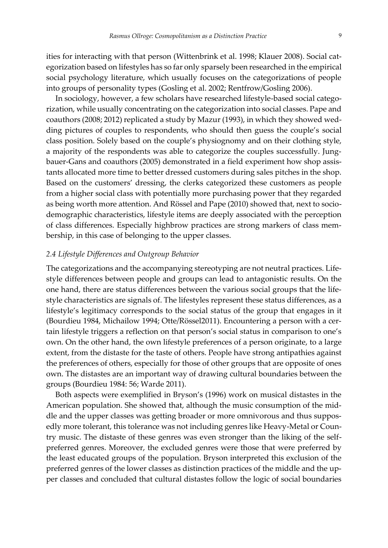ities for interacting with that person (Wittenbrink et al. 1998; Klauer 2008). Social categorization based on lifestyles has so far only sparsely been researched in the empirical social psychology literature, which usually focuses on the categorizations of people into groups of personality types (Gosling et al. 2002; Rentfrow/Gosling 2006).

In sociology, however, a few scholars have researched lifestyle-based social categorization, while usually concentrating on the categorization into social classes. Pape and coauthors (2008; 2012) replicated a study by Mazur (1993), in which they showed wedding pictures of couples to respondents, who should then guess the couple's social class position. Solely based on the couple's physiognomy and on their clothing style, a majority of the respondents was able to categorize the couples successfully. Jungbauer-Gans and coauthors (2005) demonstrated in a field experiment how shop assistants allocated more time to better dressed customers during sales pitches in the shop. Based on the customers' dressing, the clerks categorized these customers as people from a higher social class with potentially more purchasing power that they regarded as being worth more attention. And Rössel and Pape (2010) showed that, next to sociodemographic characteristics, lifestyle items are deeply associated with the perception of class differences. Especially highbrow practices are strong markers of class membership, in this case of belonging to the upper classes.

# *2.4 Lifestyle Differences and Outgroup Behavior*

The categorizations and the accompanying stereotyping are not neutral practices. Lifestyle differences between people and groups can lead to antagonistic results. On the one hand, there are status differences between the various social groups that the lifestyle characteristics are signals of. The lifestyles represent these status differences, as a lifestyle's legitimacy corresponds to the social status of the group that engages in it (Bourdieu 1984, Michailow 1994; Otte/Rössel2011). Encountering a person with a certain lifestyle triggers a reflection on that person's social status in comparison to one's own. On the other hand, the own lifestyle preferences of a person originate, to a large extent, from the distaste for the taste of others. People have strong antipathies against the preferences of others, especially for those of other groups that are opposite of ones own. The distastes are an important way of drawing cultural boundaries between the groups (Bourdieu 1984: 56; Warde 2011).

Both aspects were exemplified in Bryson's (1996) work on musical distastes in the American population. She showed that, although the music consumption of the middle and the upper classes was getting broader or more omnivorous and thus supposedly more tolerant, this tolerance was not including genres like Heavy-Metal or Country music. The distaste of these genres was even stronger than the liking of the selfpreferred genres. Moreover, the excluded genres were those that were preferred by the least educated groups of the population. Bryson interpreted this exclusion of the preferred genres of the lower classes as distinction practices of the middle and the upper classes and concluded that cultural distastes follow the logic of social boundaries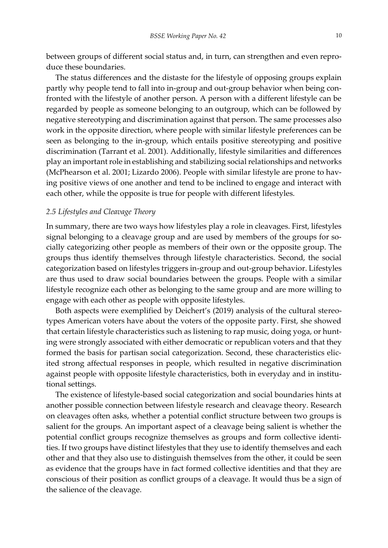between groups of different social status and, in turn, can strengthen and even reproduce these boundaries.

The status differences and the distaste for the lifestyle of opposing groups explain partly why people tend to fall into in-group and out-group behavior when being confronted with the lifestyle of another person. A person with a different lifestyle can be regarded by people as someone belonging to an outgroup, which can be followed by negative stereotyping and discrimination against that person. The same processes also work in the opposite direction, where people with similar lifestyle preferences can be seen as belonging to the in-group, which entails positive stereotyping and positive discrimination (Tarrant et al. 2001). Additionally, lifestyle similarities and differences play an important role in establishing and stabilizing social relationships and networks (McPhearson et al. 2001; Lizardo 2006). People with similar lifestyle are prone to having positive views of one another and tend to be inclined to engage and interact with each other, while the opposite is true for people with different lifestyles.

# *2.5 Lifestyles and Cleavage Theory*

In summary, there are two ways how lifestyles play a role in cleavages. First, lifestyles signal belonging to a cleavage group and are used by members of the groups for socially categorizing other people as members of their own or the opposite group. The groups thus identify themselves through lifestyle characteristics. Second, the social categorization based on lifestyles triggers in-group and out-group behavior. Lifestyles are thus used to draw social boundaries between the groups. People with a similar lifestyle recognize each other as belonging to the same group and are more willing to engage with each other as people with opposite lifestyles.

Both aspects were exemplified by Deichert's (2019) analysis of the cultural stereotypes American voters have about the voters of the opposite party. First, she showed that certain lifestyle characteristics such as listening to rap music, doing yoga, or hunting were strongly associated with either democratic or republican voters and that they formed the basis for partisan social categorization. Second, these characteristics elicited strong affectual responses in people, which resulted in negative discrimination against people with opposite lifestyle characteristics, both in everyday and in institutional settings.

The existence of lifestyle-based social categorization and social boundaries hints at another possible connection between lifestyle research and cleavage theory. Research on cleavages often asks, whether a potential conflict structure between two groups is salient for the groups. An important aspect of a cleavage being salient is whether the potential conflict groups recognize themselves as groups and form collective identities. If two groups have distinct lifestyles that they use to identify themselves and each other and that they also use to distinguish themselves from the other, it could be seen as evidence that the groups have in fact formed collective identities and that they are conscious of their position as conflict groups of a cleavage. It would thus be a sign of the salience of the cleavage.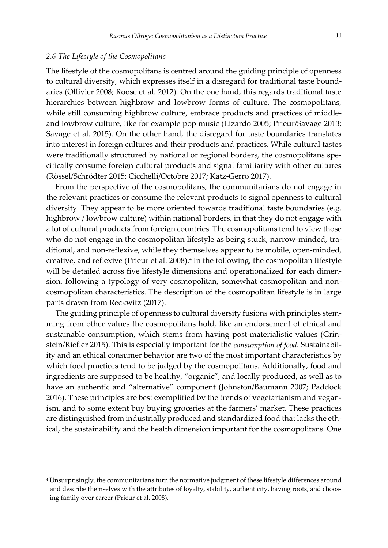#### *2.6 The Lifestyle of the Cosmopolitans*

l

The lifestyle of the cosmopolitans is centred around the guiding principle of openness to cultural diversity, which expresses itself in a disregard for traditional taste boundaries (Ollivier 2008; Roose et al. 2012). On the one hand, this regards traditional taste hierarchies between highbrow and lowbrow forms of culture. The cosmopolitans, while still consuming highbrow culture, embrace products and practices of middleand lowbrow culture, like for example pop music (Lizardo 2005; Prieur/Savage 2013; Savage et al. 2015). On the other hand, the disregard for taste boundaries translates into interest in foreign cultures and their products and practices. While cultural tastes were traditionally structured by national or regional borders, the cosmopolitans specifically consume foreign cultural products and signal familiarity with other cultures (Rössel/Schrödter 2015; Cicchelli/Octobre 2017; Katz-Gerro 2017).

From the perspective of the cosmopolitans, the communitarians do not engage in the relevant practices or consume the relevant products to signal openness to cultural diversity. They appear to be more oriented towards traditional taste boundaries (e.g. highbrow / lowbrow culture) within national borders, in that they do not engage with a lot of cultural products from foreign countries. The cosmopolitans tend to view those who do not engage in the cosmopolitan lifestyle as being stuck, narrow-minded, traditional, and non-reflexive, while they themselves appear to be mobile, open-minded, creative, and reflexive (Prieur et al. 2008).<sup>4</sup> In the following, the cosmopolitan lifestyle will be detailed across five lifestyle dimensions and operationalized for each dimension, following a typology of very cosmopolitan, somewhat cosmopolitan and noncosmopolitan characteristics. The description of the cosmopolitan lifestyle is in large parts drawn from Reckwitz (2017).

The guiding principle of openness to cultural diversity fusions with principles stemming from other values the cosmopolitans hold, like an endorsement of ethical and sustainable consumption, which stems from having post-materialistic values (Grinstein/Riefler 2015). This is especially important for the *consumption of food*. Sustainability and an ethical consumer behavior are two of the most important characteristics by which food practices tend to be judged by the cosmopolitans. Additionally, food and ingredients are supposed to be healthy, "organic", and locally produced, as well as to have an authentic and "alternative" component (Johnston/Baumann 2007; Paddock 2016). These principles are best exemplified by the trends of vegetarianism and veganism, and to some extent buy buying groceries at the farmers' market. These practices are distinguished from industrially produced and standardized food that lacks the ethical, the sustainability and the health dimension important for the cosmopolitans. One

<sup>4</sup> Unsurprisingly, the communitarians turn the normative judgment of these lifestyle differences around and describe themselves with the attributes of loyalty, stability, authenticity, having roots, and choosing family over career (Prieur et al. 2008).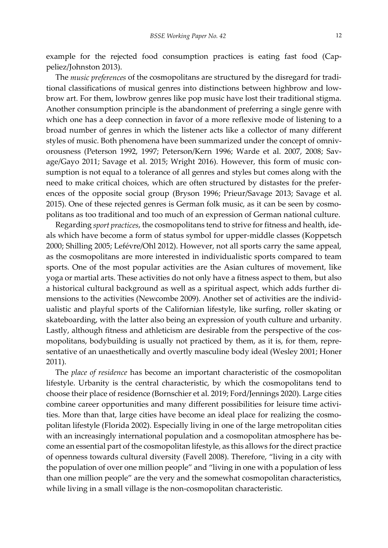example for the rejected food consumption practices is eating fast food (Cappeliez/Johnston 2013).

The *music preferences* of the cosmopolitans are structured by the disregard for traditional classifications of musical genres into distinctions between highbrow and lowbrow art. For them, lowbrow genres like pop music have lost their traditional stigma. Another consumption principle is the abandonment of preferring a single genre with which one has a deep connection in favor of a more reflexive mode of listening to a broad number of genres in which the listener acts like a collector of many different styles of music. Both phenomena have been summarized under the concept of omnivorousness (Peterson 1992, 1997; Peterson/Kern 1996; Warde et al. 2007, 2008; Savage/Gayo 2011; Savage et al. 2015; Wright 2016). However, this form of music consumption is not equal to a tolerance of all genres and styles but comes along with the need to make critical choices, which are often structured by distastes for the preferences of the opposite social group (Bryson 1996; Prieur/Savage 2013; Savage et al. 2015). One of these rejected genres is German folk music, as it can be seen by cosmopolitans as too traditional and too much of an expression of German national culture.

Regarding *sport practices*, the cosmopolitans tend to strive for fitness and health, ideals which have become a form of status symbol for upper-middle classes (Koppetsch 2000; Shilling 2005; Lefévre/Ohl 2012). However, not all sports carry the same appeal, as the cosmopolitans are more interested in individualistic sports compared to team sports. One of the most popular activities are the Asian cultures of movement, like yoga or martial arts. These activities do not only have a fitness aspect to them, but also a historical cultural background as well as a spiritual aspect, which adds further dimensions to the activities (Newcombe 2009). Another set of activities are the individualistic and playful sports of the Californian lifestyle, like surfing, roller skating or skateboarding, with the latter also being an expression of youth culture and urbanity. Lastly, although fitness and athleticism are desirable from the perspective of the cosmopolitans, bodybuilding is usually not practiced by them, as it is, for them, representative of an unaesthetically and overtly masculine body ideal (Wesley 2001; Honer 2011).

The *place of residence* has become an important characteristic of the cosmopolitan lifestyle. Urbanity is the central characteristic, by which the cosmopolitans tend to choose their place of residence (Bornschier et al. 2019; Ford/Jennings 2020). Large cities combine career opportunities and many different possibilities for leisure time activities. More than that, large cities have become an ideal place for realizing the cosmopolitan lifestyle (Florida 2002). Especially living in one of the large metropolitan cities with an increasingly international population and a cosmopolitan atmosphere has become an essential part of the cosmopolitan lifestyle, as this allows for the direct practice of openness towards cultural diversity (Favell 2008). Therefore, "living in a city with the population of over one million people" and "living in one with a population of less than one million people" are the very and the somewhat cosmopolitan characteristics, while living in a small village is the non-cosmopolitan characteristic.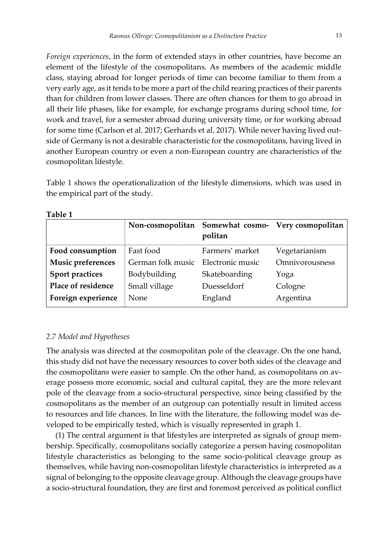*Foreign experiences*, in the form of extended stays in other countries, have become an element of the lifestyle of the cosmopolitans. As members of the academic middle class, staying abroad for longer periods of time can become familiar to them from a very early age, as it tends to be more a part of the child rearing practices of their parents than for children from lower classes. There are often chances for them to go abroad in all their life phases, like for example, for exchange programs during school time, for work and travel, for a semester abroad during university time, or for working abroad for some time (Carlson et al. 2017; Gerhards et al. 2017). While never having lived outside of Germany is not a desirable characteristic for the cosmopolitans, having lived in another European country or even a non-European country are characteristics of the cosmopolitan lifestyle.

Table 1 shows the operationalization of the lifestyle dimensions, which was used in the empirical part of the study.

|                        |                                    | Non-cosmopolitan Somewhat cosmo- Very cosmopolitan<br>politan |                |
|------------------------|------------------------------------|---------------------------------------------------------------|----------------|
| Food consumption       | Fast food                          | Farmers' market                                               | Vegetarianism  |
| Music preferences      | German folk music Electronic music |                                                               | Omnivorousness |
| <b>Sport practices</b> | Bodybuilding                       | Skateboarding                                                 | Yoga           |
| Place of residence     | Small village                      | Duesseldorf                                                   | Cologne        |
| Foreign experience     | None                               | England                                                       | Argentina      |

**Table 1**

# *2.7 Model and Hypotheses*

The analysis was directed at the cosmopolitan pole of the cleavage. On the one hand, this study did not have the necessary resources to cover both sides of the cleavage and the cosmopolitans were easier to sample. On the other hand, as cosmopolitans on average possess more economic, social and cultural capital, they are the more relevant pole of the cleavage from a socio-structural perspective, since being classified by the cosmopolitans as the member of an outgroup can potentially result in limited access to resources and life chances. In line with the literature, the following model was developed to be empirically tested, which is visually represented in graph 1.

(1) The central argument is that lifestyles are interpreted as signals of group membership. Specifically, cosmopolitans socially categorize a person having cosmopolitan lifestyle characteristics as belonging to the same socio-political cleavage group as themselves, while having non-cosmopolitan lifestyle characteristics is interpreted as a signal of belonging to the opposite cleavage group. Although the cleavage groups have a socio-structural foundation, they are first and foremost perceived as political conflict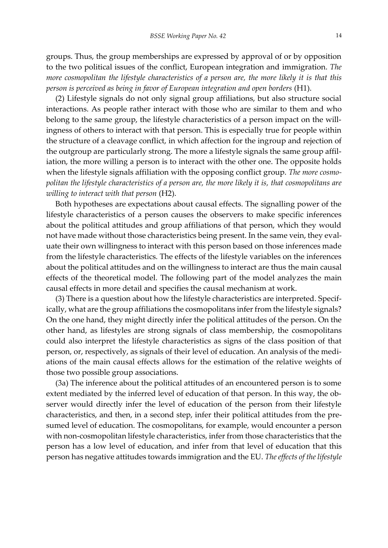groups. Thus, the group memberships are expressed by approval of or by opposition to the two political issues of the conflict, European integration and immigration. *The more cosmopolitan the lifestyle characteristics of a person are, the more likely it is that this person is perceived as being in favor of European integration and open borders* (H1).

(2) Lifestyle signals do not only signal group affiliations, but also structure social interactions. As people rather interact with those who are similar to them and who belong to the same group, the lifestyle characteristics of a person impact on the willingness of others to interact with that person. This is especially true for people within the structure of a cleavage conflict, in which affection for the ingroup and rejection of the outgroup are particularly strong. The more a lifestyle signals the same group affiliation, the more willing a person is to interact with the other one. The opposite holds when the lifestyle signals affiliation with the opposing conflict group. *The more cosmopolitan the lifestyle characteristics of a person are, the more likely it is, that cosmopolitans are willing to interact with that person* (H2).

Both hypotheses are expectations about causal effects. The signalling power of the lifestyle characteristics of a person causes the observers to make specific inferences about the political attitudes and group affiliations of that person, which they would not have made without those characteristics being present. In the same vein, they evaluate their own willingness to interact with this person based on those inferences made from the lifestyle characteristics. The effects of the lifestyle variables on the inferences about the political attitudes and on the willingness to interact are thus the main causal effects of the theoretical model. The following part of the model analyzes the main causal effects in more detail and specifies the causal mechanism at work.

(3) There is a question about how the lifestyle characteristics are interpreted. Specifically, what are the group affiliations the cosmopolitans infer from the lifestyle signals? On the one hand, they might directly infer the political attitudes of the person. On the other hand, as lifestyles are strong signals of class membership, the cosmopolitans could also interpret the lifestyle characteristics as signs of the class position of that person, or, respectively, as signals of their level of education. An analysis of the mediations of the main causal effects allows for the estimation of the relative weights of those two possible group associations.

(3a) The inference about the political attitudes of an encountered person is to some extent mediated by the inferred level of education of that person. In this way, the observer would directly infer the level of education of the person from their lifestyle characteristics, and then, in a second step, infer their political attitudes from the presumed level of education. The cosmopolitans, for example, would encounter a person with non-cosmopolitan lifestyle characteristics, infer from those characteristics that the person has a low level of education, and infer from that level of education that this person has negative attitudes towards immigration and the EU. *The effects of the lifestyle*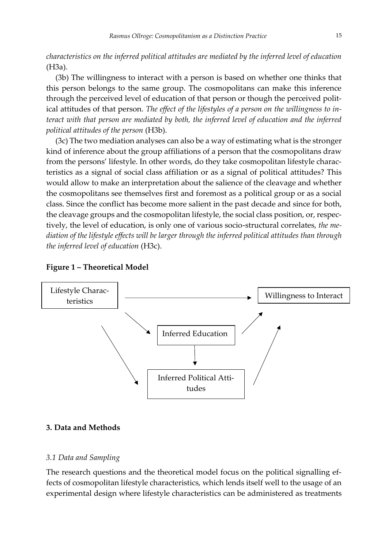*characteristics on the inferred political attitudes are mediated by the inferred level of education*  (H3a).

(3b) The willingness to interact with a person is based on whether one thinks that this person belongs to the same group. The cosmopolitans can make this inference through the perceived level of education of that person or though the perceived political attitudes of that person. *The effect of the lifestyles of a person on the willingness to interact with that person are mediated by both, the inferred level of education and the inferred political attitudes of the person* (H3b).

(3c) The two mediation analyses can also be a way of estimating what is the stronger kind of inference about the group affiliations of a person that the cosmopolitans draw from the persons' lifestyle. In other words, do they take cosmopolitan lifestyle characteristics as a signal of social class affiliation or as a signal of political attitudes? This would allow to make an interpretation about the salience of the cleavage and whether the cosmopolitans see themselves first and foremost as a political group or as a social class. Since the conflict has become more salient in the past decade and since for both, the cleavage groups and the cosmopolitan lifestyle, the social class position, or, respectively, the level of education, is only one of various socio-structural correlates, *the mediation of the lifestyle effects will be larger through the inferred political attitudes than through the inferred level of education* (H3c).



# **Figure 1 – Theoretical Model**

# **3. Data and Methods**

#### *3.1 Data and Sampling*

The research questions and the theoretical model focus on the political signalling effects of cosmopolitan lifestyle characteristics, which lends itself well to the usage of an experimental design where lifestyle characteristics can be administered as treatments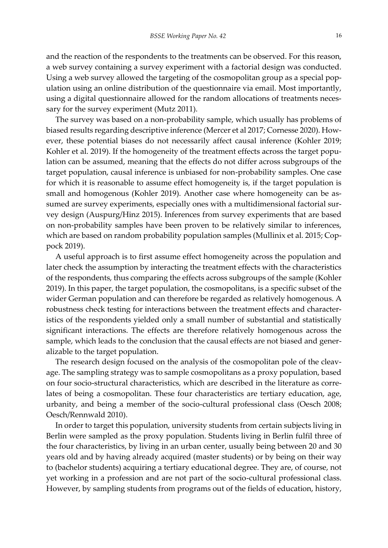and the reaction of the respondents to the treatments can be observed. For this reason, a web survey containing a survey experiment with a factorial design was conducted. Using a web survey allowed the targeting of the cosmopolitan group as a special population using an online distribution of the questionnaire via email. Most importantly, using a digital questionnaire allowed for the random allocations of treatments necessary for the survey experiment (Mutz 2011).

The survey was based on a non-probability sample, which usually has problems of biased results regarding descriptive inference (Mercer et al 2017; Cornesse 2020). However, these potential biases do not necessarily affect causal inference (Kohler 2019; Kohler et al. 2019). If the homogeneity of the treatment effects across the target population can be assumed, meaning that the effects do not differ across subgroups of the target population, causal inference is unbiased for non-probability samples. One case for which it is reasonable to assume effect homogeneity is, if the target population is small and homogenous (Kohler 2019). Another case where homogeneity can be assumed are survey experiments, especially ones with a multidimensional factorial survey design (Auspurg/Hinz 2015). Inferences from survey experiments that are based on non-probability samples have been proven to be relatively similar to inferences, which are based on random probability population samples (Mullinix et al. 2015; Coppock 2019).

A useful approach is to first assume effect homogeneity across the population and later check the assumption by interacting the treatment effects with the characteristics of the respondents, thus comparing the effects across subgroups of the sample (Kohler 2019). In this paper, the target population, the cosmopolitans, is a specific subset of the wider German population and can therefore be regarded as relatively homogenous. A robustness check testing for interactions between the treatment effects and characteristics of the respondents yielded only a small number of substantial and statistically significant interactions. The effects are therefore relatively homogenous across the sample, which leads to the conclusion that the causal effects are not biased and generalizable to the target population.

The research design focused on the analysis of the cosmopolitan pole of the cleavage. The sampling strategy was to sample cosmopolitans as a proxy population, based on four socio-structural characteristics, which are described in the literature as correlates of being a cosmopolitan. These four characteristics are tertiary education, age, urbanity, and being a member of the socio-cultural professional class (Oesch 2008; Oesch/Rennwald 2010).

In order to target this population, university students from certain subjects living in Berlin were sampled as the proxy population. Students living in Berlin fulfil three of the four characteristics, by living in an urban center, usually being between 20 and 30 years old and by having already acquired (master students) or by being on their way to (bachelor students) acquiring a tertiary educational degree. They are, of course, not yet working in a profession and are not part of the socio-cultural professional class. However, by sampling students from programs out of the fields of education, history,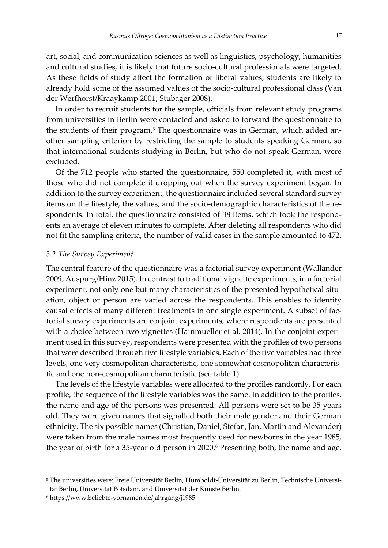art, social, and communication sciences as well as linguistics, psychology, humanities and cultural studies, it is likely that future socio-cultural professionals were targeted. As these fields of study affect the formation of liberal values, students are likely to already hold some of the assumed values of the socio-cultural professional class (Van der Werfhorst/Kraaykamp 2001; Stubager 2008).

In order to recruit students for the sample, officials from relevant study programs from universities in Berlin were contacted and asked to forward the questionnaire to the students of their program.<sup>5</sup> The questionnaire was in German, which added another sampling criterion by restricting the sample to students speaking German, so that international students studying in Berlin, but who do not speak German, were excluded.

Of the 712 people who started the questionnaire, 550 completed it, with most of those who did not complete it dropping out when the survey experiment began. In addition to the survey experiment, the questionnaire included several standard survey items on the lifestyle, the values, and the socio-demographic characteristics of the respondents. In total, the questionnaire consisted of 38 items, which took the respondents an average of eleven minutes to complete. After deleting all respondents who did not fit the sampling criteria, the number of valid cases in the sample amounted to 472.

# *3.2 The Survey Experiment*

The central feature of the questionnaire was a factorial survey experiment (Wallander 2009; Auspurg/Hinz 2015). In contrast to traditional vignette experiments, in a factorial experiment, not only one but many characteristics of the presented hypothetical situation, object or person are varied across the respondents. This enables to identify causal effects of many different treatments in one single experiment. A subset of factorial survey experiments are conjoint experiments, where respondents are presented with a choice between two vignettes (Hainmueller et al. 2014). In the conjoint experiment used in this survey, respondents were presented with the profiles of two persons that were described through five lifestyle variables. Each of the five variables had three levels, one very cosmopolitan characteristic, one somewhat cosmopolitan characteristic and one non-cosmopolitan characteristic (see table 1).

The levels of the lifestyle variables were allocated to the profiles randomly. For each profile, the sequence of the lifestyle variables was the same. In addition to the profiles, the name and age of the persons was presented. All persons were set to be 35 years old. They were given names that signalled both their male gender and their German ethnicity. The six possible names (Christian, Daniel, Stefan, Jan, Martin and Alexander) were taken from the male names most frequently used for newborns in the year 1985, the year of birth for a 35-year old person in 2020.<sup>6</sup> Presenting both, the name and age,

l

<sup>5</sup> The universities were: Freie Universität Berlin, Humboldt-Universität zu Berlin, Technische Universität Berlin, Universität Potsdam, and Universität der Künste Berlin.

<sup>6</sup> https://www.beliebte-vornamen.de/jahrgang/j1985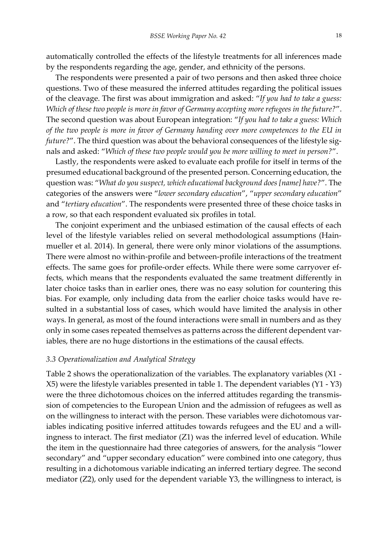automatically controlled the effects of the lifestyle treatments for all inferences made by the respondents regarding the age, gender, and ethnicity of the persons.

The respondents were presented a pair of two persons and then asked three choice questions. Two of these measured the inferred attitudes regarding the political issues of the cleavage. The first was about immigration and asked: "*If you had to take a guess: Which of these two people is more in favor of Germany accepting more refugees in the future?*". The second question was about European integration: "*If you had to take a guess: Which of the two people is more in favor of Germany handing over more competences to the EU in future?*". The third question was about the behavioral consequences of the lifestyle signals and asked: "*Which of these two people would you be more willing to meet in person?*".

Lastly, the respondents were asked to evaluate each profile for itself in terms of the presumed educational background of the presented person. Concerning education, the question was: "*What do you suspect, which educational background does [name] have?*". The categories of the answers were "*lower secondary education*", "*upper secondary education*" and "*tertiary education*". The respondents were presented three of these choice tasks in a row, so that each respondent evaluated six profiles in total.

The conjoint experiment and the unbiased estimation of the causal effects of each level of the lifestyle variables relied on several methodological assumptions (Hainmueller et al. 2014). In general, there were only minor violations of the assumptions. There were almost no within-profile and between-profile interactions of the treatment effects. The same goes for profile-order effects. While there were some carryover effects, which means that the respondents evaluated the same treatment differently in later choice tasks than in earlier ones, there was no easy solution for countering this bias. For example, only including data from the earlier choice tasks would have resulted in a substantial loss of cases, which would have limited the analysis in other ways. In general, as most of the found interactions were small in numbers and as they only in some cases repeated themselves as patterns across the different dependent variables, there are no huge distortions in the estimations of the causal effects.

# *3.3 Operationalization and Analytical Strategy*

Table 2 shows the operationalization of the variables. The explanatory variables (X1 - X5) were the lifestyle variables presented in table 1. The dependent variables (Y1 - Y3) were the three dichotomous choices on the inferred attitudes regarding the transmission of competencies to the European Union and the admission of refugees as well as on the willingness to interact with the person. These variables were dichotomous variables indicating positive inferred attitudes towards refugees and the EU and a willingness to interact. The first mediator (Z1) was the inferred level of education. While the item in the questionnaire had three categories of answers, for the analysis "lower secondary" and "upper secondary education" were combined into one category, thus resulting in a dichotomous variable indicating an inferred tertiary degree. The second mediator (Z2), only used for the dependent variable Y3, the willingness to interact, is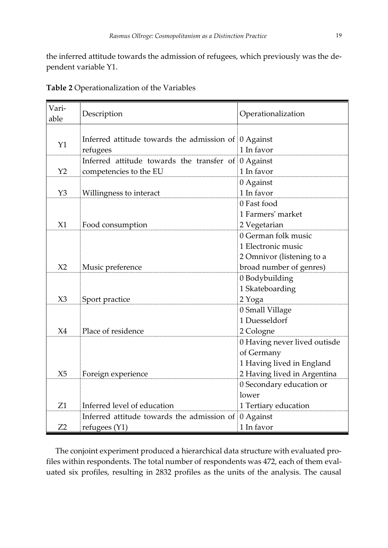the inferred attitude towards the admission of refugees, which previously was the dependent variable Y1.

| Vari-<br>able  | Description                                                         | Operationalization                                                                                     |
|----------------|---------------------------------------------------------------------|--------------------------------------------------------------------------------------------------------|
| Y1             | Inferred attitude towards the admission of<br>refugees              | 0 Against<br>1 In favor                                                                                |
| Y <sub>2</sub> | Inferred attitude towards the transfer of<br>competencies to the EU | 0 Against<br>1 In favor                                                                                |
| Y <sub>3</sub> | Willingness to interact                                             | 0 Against<br>1 In favor                                                                                |
| X1             | Food consumption                                                    | 0 Fast food<br>1 Farmers' market<br>2 Vegetarian                                                       |
| X <sub>2</sub> | Music preference                                                    | 0 German folk music<br>1 Electronic music<br>2 Omnivor (listening to a<br>broad number of genres)      |
| X3             | Sport practice                                                      | 0 Bodybuilding<br>1 Skateboarding<br>2 Yoga                                                            |
| X <sub>4</sub> | Place of residence                                                  | 0 Small Village<br>1 Duesseldorf<br>2 Cologne                                                          |
| X <sub>5</sub> | Foreign experience                                                  | 0 Having never lived outisde<br>of Germany<br>1 Having lived in England<br>2 Having lived in Argentina |
| Z1             | Inferred level of education                                         | 0 Secondary education or<br>lower<br>1 Tertiary education                                              |
| Z2             | Inferred attitude towards the admission of<br>refugees (Y1)         | 0 Against<br>1 In favor                                                                                |

|  | Table 2 Operationalization of the Variables |  |  |
|--|---------------------------------------------|--|--|
|--|---------------------------------------------|--|--|

The conjoint experiment produced a hierarchical data structure with evaluated profiles within respondents. The total number of respondents was 472, each of them evaluated six profiles, resulting in 2832 profiles as the units of the analysis. The causal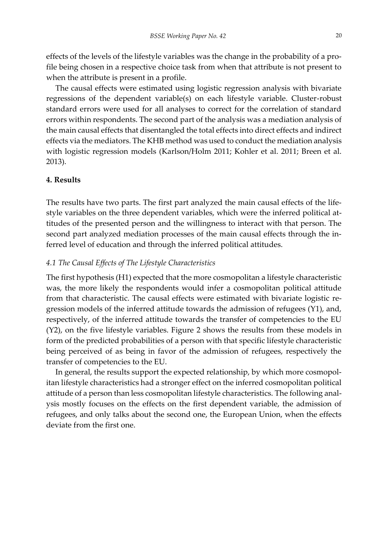effects of the levels of the lifestyle variables was the change in the probability of a profile being chosen in a respective choice task from when that attribute is not present to when the attribute is present in a profile.

The causal effects were estimated using logistic regression analysis with bivariate regressions of the dependent variable(s) on each lifestyle variable. Cluster-robust standard errors were used for all analyses to correct for the correlation of standard errors within respondents. The second part of the analysis was a mediation analysis of the main causal effects that disentangled the total effects into direct effects and indirect effects via the mediators. The KHB method was used to conduct the mediation analysis with logistic regression models (Karlson/Holm 2011; Kohler et al. 2011; Breen et al. 2013).

#### **4. Results**

The results have two parts. The first part analyzed the main causal effects of the lifestyle variables on the three dependent variables, which were the inferred political attitudes of the presented person and the willingness to interact with that person. The second part analyzed mediation processes of the main causal effects through the inferred level of education and through the inferred political attitudes.

# *4.1 The Causal Effects of The Lifestyle Characteristics*

The first hypothesis (H1) expected that the more cosmopolitan a lifestyle characteristic was, the more likely the respondents would infer a cosmopolitan political attitude from that characteristic. The causal effects were estimated with bivariate logistic regression models of the inferred attitude towards the admission of refugees (Y1), and, respectively, of the inferred attitude towards the transfer of competencies to the EU (Y2), on the five lifestyle variables. Figure 2 shows the results from these models in form of the predicted probabilities of a person with that specific lifestyle characteristic being perceived of as being in favor of the admission of refugees, respectively the transfer of competencies to the EU.

In general, the results support the expected relationship, by which more cosmopolitan lifestyle characteristics had a stronger effect on the inferred cosmopolitan political attitude of a person than less cosmopolitan lifestyle characteristics. The following analysis mostly focuses on the effects on the first dependent variable, the admission of refugees, and only talks about the second one, the European Union, when the effects deviate from the first one.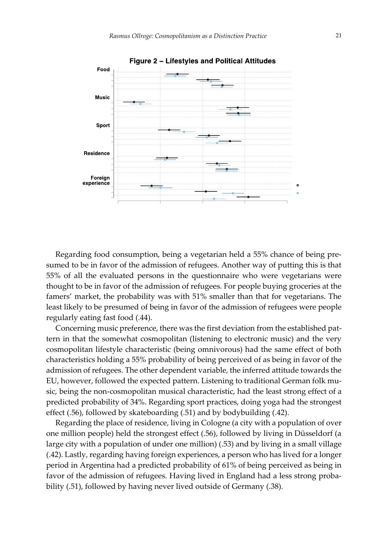

Regarding food consumption, being a vegetarian held a 55% chance of being presumed to be in favor of the admission of refugees. Another way of putting this is that 55% of all the evaluated persons in the questionnaire who were vegetarians were thought to be in favor of the admission of refugees. For people buying groceries at the famers' market, the probability was with 51% smaller than that for vegetarians. The least likely to be presumed of being in favor of the admission of refugees were people regularly eating fast food (.44).

Concerning music preference, there was the first deviation from the established pattern in that the somewhat cosmopolitan (listening to electronic music) and the very cosmopolitan lifestyle characteristic (being omnivorous) had the same effect of both characteristics holding a 55% probability of being perceived of as being in favor of the admission of refugees. The other dependent variable, the inferred attitude towards the EU, however, followed the expected pattern. Listening to traditional German folk music, being the non-cosmopolitan musical characteristic, had the least strong effect of a predicted probability of 34%. Regarding sport practices, doing yoga had the strongest effect (.56), followed by skateboarding (.51) and by bodybuilding (.42).

Regarding the place of residence, living in Cologne (a city with a population of over one million people) held the strongest effect (.56), followed by living in Düsseldorf (a large city with a population of under one million) (.53) and by living in a small village (.42). Lastly, regarding having foreign experiences, a person who has lived for a longer period in Argentina had a predicted probability of 61% of being perceived as being in favor of the admission of refugees. Having lived in England had a less strong probability (.51), followed by having never lived outside of Germany (.38).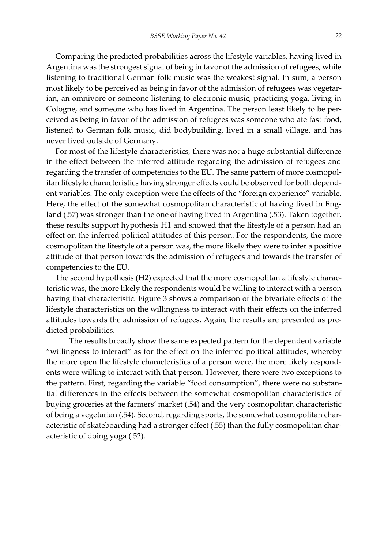Comparing the predicted probabilities across the lifestyle variables, having lived in Argentina was the strongest signal of being in favor of the admission of refugees, while listening to traditional German folk music was the weakest signal. In sum, a person most likely to be perceived as being in favor of the admission of refugees was vegetarian, an omnivore or someone listening to electronic music, practicing yoga, living in Cologne, and someone who has lived in Argentina. The person least likely to be perceived as being in favor of the admission of refugees was someone who ate fast food, listened to German folk music, did bodybuilding, lived in a small village, and has never lived outside of Germany.

For most of the lifestyle characteristics, there was not a huge substantial difference in the effect between the inferred attitude regarding the admission of refugees and regarding the transfer of competencies to the EU. The same pattern of more cosmopolitan lifestyle characteristics having stronger effects could be observed for both dependent variables. The only exception were the effects of the "foreign experience" variable. Here, the effect of the somewhat cosmopolitan characteristic of having lived in England (.57) was stronger than the one of having lived in Argentina (.53). Taken together, these results support hypothesis H1 and showed that the lifestyle of a person had an effect on the inferred political attitudes of this person. For the respondents, the more cosmopolitan the lifestyle of a person was, the more likely they were to infer a positive attitude of that person towards the admission of refugees and towards the transfer of competencies to the EU.

The second hypothesis (H2) expected that the more cosmopolitan a lifestyle characteristic was, the more likely the respondents would be willing to interact with a person having that characteristic. Figure 3 shows a comparison of the bivariate effects of the lifestyle characteristics on the willingness to interact with their effects on the inferred attitudes towards the admission of refugees. Again, the results are presented as predicted probabilities.

The results broadly show the same expected pattern for the dependent variable "willingness to interact" as for the effect on the inferred political attitudes, whereby the more open the lifestyle characteristics of a person were, the more likely respondents were willing to interact with that person. However, there were two exceptions to the pattern. First, regarding the variable "food consumption", there were no substantial differences in the effects between the somewhat cosmopolitan characteristics of buying groceries at the farmers' market (.54) and the very cosmopolitan characteristic of being a vegetarian (.54). Second, regarding sports, the somewhat cosmopolitan characteristic of skateboarding had a stronger effect (.55) than the fully cosmopolitan characteristic of doing yoga (.52).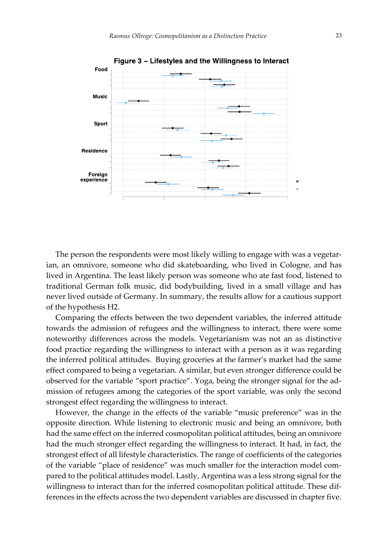

The person the respondents were most likely willing to engage with was a vegetarian, an omnivore, someone who did skateboarding, who lived in Cologne, and has lived in Argentina. The least likely person was someone who ate fast food, listened to traditional German folk music, did bodybuilding, lived in a small village and has never lived outside of Germany. In summary, the results allow for a cautious support of the hypothesis H2.

Comparing the effects between the two dependent variables, the inferred attitude towards the admission of refugees and the willingness to interact, there were some noteworthy differences across the models. Vegetarianism was not an as distinctive food practice regarding the willingness to interact with a person as it was regarding the inferred political attitudes. Buying groceries at the farmer's market had the same effect compared to being a vegetarian. A similar, but even stronger difference could be observed for the variable "sport practice". Yoga, being the stronger signal for the admission of refugees among the categories of the sport variable, was only the second strongest effect regarding the willingness to interact.

However, the change in the effects of the variable "music preference" was in the opposite direction. While listening to electronic music and being an omnivore, both had the same effect on the inferred cosmopolitan political attitudes, being an omnivore had the much stronger effect regarding the willingness to interact. It had, in fact, the strongest effect of all lifestyle characteristics. The range of coefficients of the categories of the variable "place of residence" was much smaller for the interaction model compared to the political attitudes model. Lastly, Argentina was a less strong signal for the willingness to interact than for the inferred cosmopolitan political attitude. These differences in the effects across the two dependent variables are discussed in chapter five.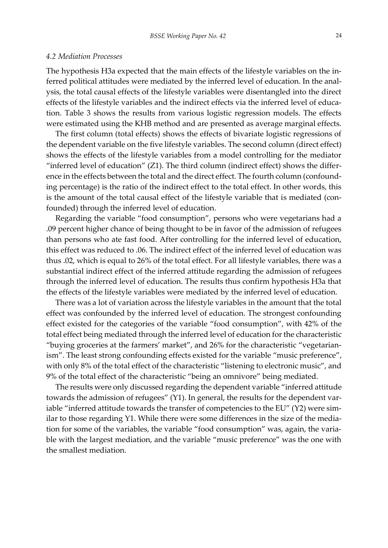#### *4.2 Mediation Processes*

The hypothesis H3a expected that the main effects of the lifestyle variables on the inferred political attitudes were mediated by the inferred level of education. In the analysis, the total causal effects of the lifestyle variables were disentangled into the direct effects of the lifestyle variables and the indirect effects via the inferred level of education. Table 3 shows the results from various logistic regression models. The effects were estimated using the KHB method and are presented as average marginal effects.

The first column (total effects) shows the effects of bivariate logistic regressions of the dependent variable on the five lifestyle variables. The second column (direct effect) shows the effects of the lifestyle variables from a model controlling for the mediator "inferred level of education" (Z1). The third column (indirect effect) shows the difference in the effects between the total and the direct effect. The fourth column (confounding percentage) is the ratio of the indirect effect to the total effect. In other words, this is the amount of the total causal effect of the lifestyle variable that is mediated (confounded) through the inferred level of education.

Regarding the variable "food consumption", persons who were vegetarians had a .09 percent higher chance of being thought to be in favor of the admission of refugees than persons who ate fast food. After controlling for the inferred level of education, this effect was reduced to .06. The indirect effect of the inferred level of education was thus .02, which is equal to 26% of the total effect. For all lifestyle variables, there was a substantial indirect effect of the inferred attitude regarding the admission of refugees through the inferred level of education. The results thus confirm hypothesis H3a that the effects of the lifestyle variables were mediated by the inferred level of education.

There was a lot of variation across the lifestyle variables in the amount that the total effect was confounded by the inferred level of education. The strongest confounding effect existed for the categories of the variable "food consumption", with 42% of the total effect being mediated through the inferred level of education for the characteristic "buying groceries at the farmers' market", and 26% for the characteristic "vegetarianism". The least strong confounding effects existed for the variable "music preference", with only 8% of the total effect of the characteristic "listening to electronic music", and 9% of the total effect of the characteristic "being an omnivore" being mediated.

The results were only discussed regarding the dependent variable "inferred attitude towards the admission of refugees" (Y1). In general, the results for the dependent variable "inferred attitude towards the transfer of competencies to the EU" (Y2) were similar to those regarding Y1. While there were some differences in the size of the mediation for some of the variables, the variable "food consumption" was, again, the variable with the largest mediation, and the variable "music preference" was the one with the smallest mediation.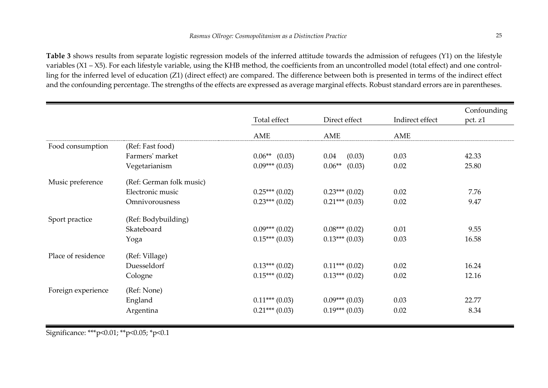**Table 3** shows results from separate logistic regression models of the inferred attitude towards the admission of refugees (Y1) on the lifestyle variables (X1 – X5). For each lifestyle variable, using the KHB method, the coefficients from an uncontrolled model (total effect) and one controlling for the inferred level of education (Z1) (direct effect) are compared. The difference between both is presented in terms of the indirect effect and the confounding percentage. The strengths of the effects are expressed as average marginal effects. Robust standard errors are in parentheses.

|                    |                          | Total effect    | Direct effect      | Indirect effect | Confounding<br>pct. z1 |
|--------------------|--------------------------|-----------------|--------------------|-----------------|------------------------|
|                    |                          | AME             | AME                | AME             |                        |
| Food consumption   | (Ref: Fast food)         |                 |                    |                 |                        |
|                    | Farmers' market          | $0.06**$ (0.03) | (0.03)<br>0.04     | 0.03            | 42.33                  |
|                    | Vegetarianism            | $0.09***(0.03)$ | $0.06**$<br>(0.03) | 0.02            | 25.80                  |
| Music preference   | (Ref: German folk music) |                 |                    |                 |                        |
|                    | Electronic music         | $0.25***(0.02)$ | $0.23***(0.02)$    | 0.02            | 7.76                   |
|                    | Omnivorousness           | $0.23***(0.02)$ | $0.21***(0.03)$    | 0.02            | 9.47                   |
| Sport practice     | (Ref: Bodybuilding)      |                 |                    |                 |                        |
|                    | Skateboard               | $0.09***(0.02)$ | $0.08***(0.02)$    | 0.01            | 9.55                   |
|                    | Yoga                     | $0.15***(0.03)$ | $0.13***(0.03)$    | 0.03            | 16.58                  |
| Place of residence | (Ref: Village)           |                 |                    |                 |                        |
|                    | Duesseldorf              | $0.13***(0.02)$ | $0.11***(0.02)$    | 0.02            | 16.24                  |
|                    | Cologne                  | $0.15***(0.02)$ | $0.13***(0.02)$    | 0.02            | 12.16                  |
| Foreign experience | (Ref: None)              |                 |                    |                 |                        |
|                    | England                  | $0.11***(0.03)$ | $0.09***(0.03)$    | 0.03            | 22.77                  |
|                    | Argentina                | $0.21***(0.03)$ | $0.19***(0.03)$    | 0.02            | 8.34                   |

Significance: \*\*\*p<0.01; \*\*p<0.05; \*p<0.1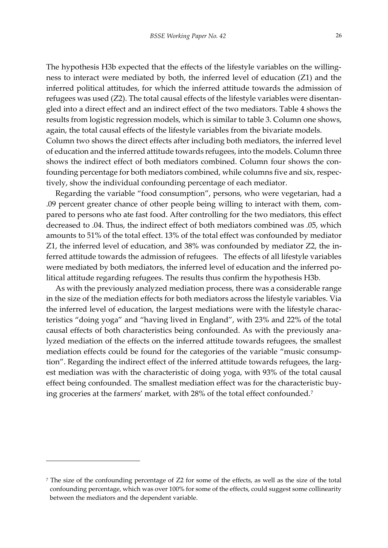The hypothesis H3b expected that the effects of the lifestyle variables on the willingness to interact were mediated by both, the inferred level of education (Z1) and the inferred political attitudes, for which the inferred attitude towards the admission of refugees was used (Z2). The total causal effects of the lifestyle variables were disentangled into a direct effect and an indirect effect of the two mediators. Table 4 shows the results from logistic regression models, which is similar to table 3. Column one shows, again, the total causal effects of the lifestyle variables from the bivariate models. Column two shows the direct effects after including both mediators, the inferred level of education and the inferred attitude towards refugees, into the models. Column three shows the indirect effect of both mediators combined. Column four shows the confounding percentage for both mediators combined, while columns five and six, respectively, show the individual confounding percentage of each mediator.

Regarding the variable "food consumption", persons, who were vegetarian, had a .09 percent greater chance of other people being willing to interact with them, compared to persons who ate fast food. After controlling for the two mediators, this effect decreased to .04. Thus, the indirect effect of both mediators combined was .05, which amounts to 51% of the total effect. 13% of the total effect was confounded by mediator Z1, the inferred level of education, and 38% was confounded by mediator Z2, the inferred attitude towards the admission of refugees. The effects of all lifestyle variables were mediated by both mediators, the inferred level of education and the inferred political attitude regarding refugees. The results thus confirm the hypothesis H3b.

As with the previously analyzed mediation process, there was a considerable range in the size of the mediation effects for both mediators across the lifestyle variables. Via the inferred level of education, the largest mediations were with the lifestyle characteristics "doing yoga" and "having lived in England", with 23% and 22% of the total causal effects of both characteristics being confounded. As with the previously analyzed mediation of the effects on the inferred attitude towards refugees, the smallest mediation effects could be found for the categories of the variable "music consumption". Regarding the indirect effect of the inferred attitude towards refugees, the largest mediation was with the characteristic of doing yoga, with 93% of the total causal effect being confounded. The smallest mediation effect was for the characteristic buying groceries at the farmers' market, with 28% of the total effect confounded.<sup>7</sup>

l

<sup>7</sup> The size of the confounding percentage of Z2 for some of the effects, as well as the size of the total confounding percentage, which was over 100% for some of the effects, could suggest some collinearity between the mediators and the dependent variable.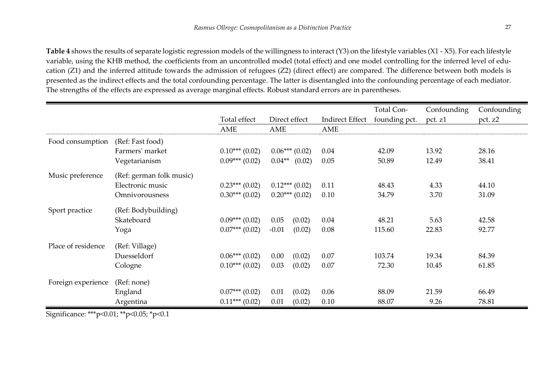**Table 4** shows the results of separate logistic regression models of the willingness to interact (Y3) on the lifestyle variables (X1 - X5). For each lifestyle variable, using the KHB method, the coefficients from an uncontrolled model (total effect) and one model controlling for the inferred level of education (Z1) and the inferred attitude towards the admission of refugees (Z2) (direct effect) are compared. The difference between both models is presented as the indirect effects and the total confounding percentage. The latter is disentangled into the confounding percentage of each mediator. The strengths of the effects are expressed as average marginal effects. Robust standard errors are in parentheses.

|                    |                          |                  |                    |                        | Total Con-    | Confounding | Confounding |
|--------------------|--------------------------|------------------|--------------------|------------------------|---------------|-------------|-------------|
|                    |                          | Total effect     | Direct effect      | <b>Indirect Effect</b> | founding pct. | pct. z1     | pct. z2     |
|                    |                          | AME              | AME                | AME                    |               |             |             |
| Food consumption   | (Ref: Fast food)         |                  |                    |                        |               |             |             |
|                    | Farmers' market          | $0.10***(0.02)$  | $0.06***(0.02)$    | 0.04                   | 42.09         | 13.92       | 28.16       |
|                    | Vegetarianism            | $0.09***(0.02)$  | $0.04**$<br>(0.02) | 0.05                   | 50.89         | 12.49       | 38.41       |
| Music preference   | (Ref: german folk music) |                  |                    |                        |               |             |             |
|                    | Electronic music         | $0.23***(0.02)$  | $0.12***(0.02)$    | 0.11                   | 48.43         | 4.33        | 44.10       |
|                    | Omnivorousness           | $0.30***(0.02)$  | $0.20***(0.02)$    | 0.10                   | 34.79         | 3.70        | 31.09       |
| Sport practice     | (Ref: Bodybuilding)      |                  |                    |                        |               |             |             |
|                    | Skateboard               | $0.09***(0.02)$  | 0.05<br>(0.02)     | 0.04                   | 48.21         | 5.63        | 42.58       |
|                    | Yoga                     | $0.07***$ (0.02) | $-0.01$<br>(0.02)  | 0.08                   | 115.60        | 22.83       | 92.77       |
| Place of residence | (Ref: Village)           |                  |                    |                        |               |             |             |
|                    | Duesseldorf              | $0.06***(0.02)$  | 0.00<br>(0.02)     | 0.07                   | 103.74        | 19.34       | 84.39       |
|                    | Cologne                  | $0.10***(0.02)$  | 0.03<br>(0.02)     | 0.07                   | 72.30         | 10.45       | 61.85       |
| Foreign experience | (Ref: none)              |                  |                    |                        |               |             |             |
|                    | England                  | $0.07***(0.02)$  | (0.02)<br>0.01     | 0.06                   | 88.09         | 21.59       | 66.49       |
|                    | Argentina                | $0.11***(0.02)$  | 0.01<br>(0.02)     | 0.10                   | 88.07         | 9.26        | 78.81       |

Significance: \*\*\*p<0.01; \*\*p<0.05; \*p<0.1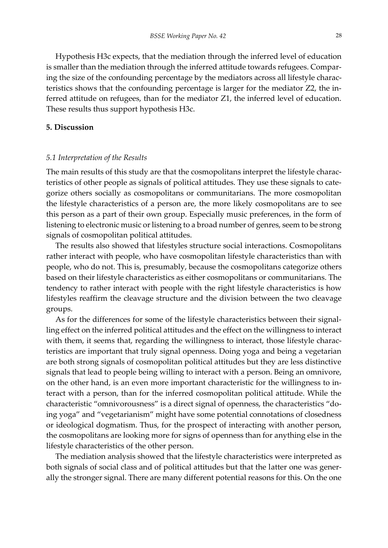Hypothesis H3c expects, that the mediation through the inferred level of education is smaller than the mediation through the inferred attitude towards refugees. Comparing the size of the confounding percentage by the mediators across all lifestyle characteristics shows that the confounding percentage is larger for the mediator Z2, the inferred attitude on refugees, than for the mediator Z1, the inferred level of education. These results thus support hypothesis H3c.

# **5. Discussion**

#### *5.1 Interpretation of the Results*

The main results of this study are that the cosmopolitans interpret the lifestyle characteristics of other people as signals of political attitudes. They use these signals to categorize others socially as cosmopolitans or communitarians. The more cosmopolitan the lifestyle characteristics of a person are, the more likely cosmopolitans are to see this person as a part of their own group. Especially music preferences, in the form of listening to electronic music or listening to a broad number of genres, seem to be strong signals of cosmopolitan political attitudes.

The results also showed that lifestyles structure social interactions. Cosmopolitans rather interact with people, who have cosmopolitan lifestyle characteristics than with people, who do not. This is, presumably, because the cosmopolitans categorize others based on their lifestyle characteristics as either cosmopolitans or communitarians. The tendency to rather interact with people with the right lifestyle characteristics is how lifestyles reaffirm the cleavage structure and the division between the two cleavage groups.

As for the differences for some of the lifestyle characteristics between their signalling effect on the inferred political attitudes and the effect on the willingness to interact with them, it seems that, regarding the willingness to interact, those lifestyle characteristics are important that truly signal openness. Doing yoga and being a vegetarian are both strong signals of cosmopolitan political attitudes but they are less distinctive signals that lead to people being willing to interact with a person. Being an omnivore, on the other hand, is an even more important characteristic for the willingness to interact with a person, than for the inferred cosmopolitan political attitude. While the characteristic "omnivorousness" is a direct signal of openness, the characteristics "doing yoga" and "vegetarianism" might have some potential connotations of closedness or ideological dogmatism. Thus, for the prospect of interacting with another person, the cosmopolitans are looking more for signs of openness than for anything else in the lifestyle characteristics of the other person.

The mediation analysis showed that the lifestyle characteristics were interpreted as both signals of social class and of political attitudes but that the latter one was generally the stronger signal. There are many different potential reasons for this. On the one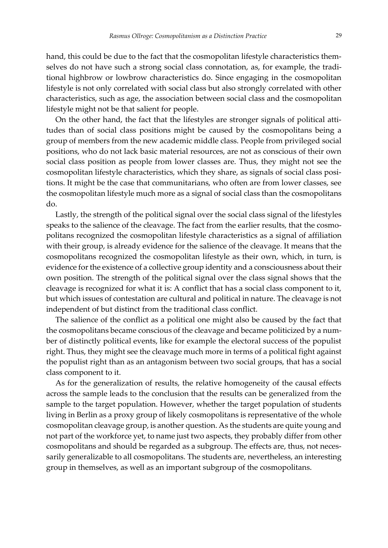hand, this could be due to the fact that the cosmopolitan lifestyle characteristics themselves do not have such a strong social class connotation, as, for example, the traditional highbrow or lowbrow characteristics do. Since engaging in the cosmopolitan lifestyle is not only correlated with social class but also strongly correlated with other characteristics, such as age, the association between social class and the cosmopolitan lifestyle might not be that salient for people.

On the other hand, the fact that the lifestyles are stronger signals of political attitudes than of social class positions might be caused by the cosmopolitans being a group of members from the new academic middle class. People from privileged social positions, who do not lack basic material resources, are not as conscious of their own social class position as people from lower classes are. Thus, they might not see the cosmopolitan lifestyle characteristics, which they share, as signals of social class positions. It might be the case that communitarians, who often are from lower classes, see the cosmopolitan lifestyle much more as a signal of social class than the cosmopolitans do.

Lastly, the strength of the political signal over the social class signal of the lifestyles speaks to the salience of the cleavage. The fact from the earlier results, that the cosmopolitans recognized the cosmopolitan lifestyle characteristics as a signal of affiliation with their group, is already evidence for the salience of the cleavage. It means that the cosmopolitans recognized the cosmopolitan lifestyle as their own, which, in turn, is evidence for the existence of a collective group identity and a consciousness about their own position. The strength of the political signal over the class signal shows that the cleavage is recognized for what it is: A conflict that has a social class component to it, but which issues of contestation are cultural and political in nature. The cleavage is not independent of but distinct from the traditional class conflict.

The salience of the conflict as a political one might also be caused by the fact that the cosmopolitans became conscious of the cleavage and became politicized by a number of distinctly political events, like for example the electoral success of the populist right. Thus, they might see the cleavage much more in terms of a political fight against the populist right than as an antagonism between two social groups, that has a social class component to it.

As for the generalization of results, the relative homogeneity of the causal effects across the sample leads to the conclusion that the results can be generalized from the sample to the target population. However, whether the target population of students living in Berlin as a proxy group of likely cosmopolitans is representative of the whole cosmopolitan cleavage group, is another question. As the students are quite young and not part of the workforce yet, to name just two aspects, they probably differ from other cosmopolitans and should be regarded as a subgroup. The effects are, thus, not necessarily generalizable to all cosmopolitans. The students are, nevertheless, an interesting group in themselves, as well as an important subgroup of the cosmopolitans.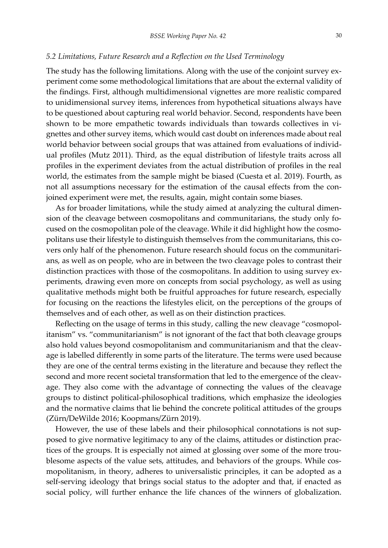#### *5.2 Limitations, Future Research and a Reflection on the Used Terminology*

The study has the following limitations. Along with the use of the conjoint survey experiment come some methodological limitations that are about the external validity of the findings. First, although multidimensional vignettes are more realistic compared to unidimensional survey items, inferences from hypothetical situations always have to be questioned about capturing real world behavior. Second, respondents have been shown to be more empathetic towards individuals than towards collectives in vignettes and other survey items, which would cast doubt on inferences made about real world behavior between social groups that was attained from evaluations of individual profiles (Mutz 2011). Third, as the equal distribution of lifestyle traits across all profiles in the experiment deviates from the actual distribution of profiles in the real world, the estimates from the sample might be biased (Cuesta et al. 2019). Fourth, as not all assumptions necessary for the estimation of the causal effects from the conjoined experiment were met, the results, again, might contain some biases.

As for broader limitations, while the study aimed at analyzing the cultural dimension of the cleavage between cosmopolitans and communitarians, the study only focused on the cosmopolitan pole of the cleavage. While it did highlight how the cosmopolitans use their lifestyle to distinguish themselves from the communitarians, this covers only half of the phenomenon. Future research should focus on the communitarians, as well as on people, who are in between the two cleavage poles to contrast their distinction practices with those of the cosmopolitans. In addition to using survey experiments, drawing even more on concepts from social psychology, as well as using qualitative methods might both be fruitful approaches for future research, especially for focusing on the reactions the lifestyles elicit, on the perceptions of the groups of themselves and of each other, as well as on their distinction practices.

Reflecting on the usage of terms in this study, calling the new cleavage "cosmopolitanism" vs. "communitarianism" is not ignorant of the fact that both cleavage groups also hold values beyond cosmopolitanism and communitarianism and that the cleavage is labelled differently in some parts of the literature. The terms were used because they are one of the central terms existing in the literature and because they reflect the second and more recent societal transformation that led to the emergence of the cleavage. They also come with the advantage of connecting the values of the cleavage groups to distinct political-philosophical traditions, which emphasize the ideologies and the normative claims that lie behind the concrete political attitudes of the groups (Zürn/DeWilde 2016; Koopmans/Zürn 2019).

However, the use of these labels and their philosophical connotations is not supposed to give normative legitimacy to any of the claims, attitudes or distinction practices of the groups. It is especially not aimed at glossing over some of the more troublesome aspects of the value sets, attitudes, and behaviors of the groups. While cosmopolitanism, in theory, adheres to universalistic principles, it can be adopted as a self-serving ideology that brings social status to the adopter and that, if enacted as social policy, will further enhance the life chances of the winners of globalization.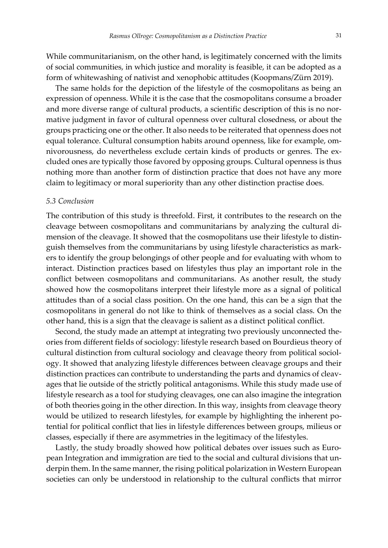While communitarianism, on the other hand, is legitimately concerned with the limits of social communities, in which justice and morality is feasible, it can be adopted as a form of whitewashing of nativist and xenophobic attitudes (Koopmans/Zürn 2019).

The same holds for the depiction of the lifestyle of the cosmopolitans as being an expression of openness. While it is the case that the cosmopolitans consume a broader and more diverse range of cultural products, a scientific description of this is no normative judgment in favor of cultural openness over cultural closedness, or about the groups practicing one or the other. It also needs to be reiterated that openness does not equal tolerance. Cultural consumption habits around openness, like for example, omnivorousness, do nevertheless exclude certain kinds of products or genres. The excluded ones are typically those favored by opposing groups. Cultural openness is thus nothing more than another form of distinction practice that does not have any more claim to legitimacy or moral superiority than any other distinction practise does.

#### *5.3 Conclusion*

The contribution of this study is threefold. First, it contributes to the research on the cleavage between cosmopolitans and communitarians by analyzing the cultural dimension of the cleavage. It showed that the cosmopolitans use their lifestyle to distinguish themselves from the communitarians by using lifestyle characteristics as markers to identify the group belongings of other people and for evaluating with whom to interact. Distinction practices based on lifestyles thus play an important role in the conflict between cosmopolitans and communitarians. As another result, the study showed how the cosmopolitans interpret their lifestyle more as a signal of political attitudes than of a social class position. On the one hand, this can be a sign that the cosmopolitans in general do not like to think of themselves as a social class. On the other hand, this is a sign that the cleavage is salient as a distinct political conflict.

Second, the study made an attempt at integrating two previously unconnected theories from different fields of sociology: lifestyle research based on Bourdieus theory of cultural distinction from cultural sociology and cleavage theory from political sociology. It showed that analyzing lifestyle differences between cleavage groups and their distinction practices can contribute to understanding the parts and dynamics of cleavages that lie outside of the strictly political antagonisms. While this study made use of lifestyle research as a tool for studying cleavages, one can also imagine the integration of both theories going in the other direction. In this way, insights from cleavage theory would be utilized to research lifestyles, for example by highlighting the inherent potential for political conflict that lies in lifestyle differences between groups, milieus or classes, especially if there are asymmetries in the legitimacy of the lifestyles.

Lastly, the study broadly showed how political debates over issues such as European Integration and immigration are tied to the social and cultural divisions that underpin them. In the same manner, the rising political polarization in Western European societies can only be understood in relationship to the cultural conflicts that mirror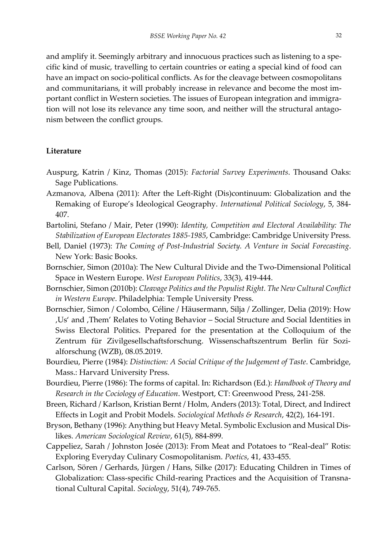and amplify it. Seemingly arbitrary and innocuous practices such as listening to a specific kind of music, travelling to certain countries or eating a special kind of food can have an impact on socio-political conflicts. As for the cleavage between cosmopolitans and communitarians, it will probably increase in relevance and become the most important conflict in Western societies. The issues of European integration and immigration will not lose its relevance any time soon, and neither will the structural antagonism between the conflict groups.

#### **Literature**

- Auspurg, Katrin / Kinz, Thomas (2015): *Factorial Survey Experiments*. Thousand Oaks: Sage Publications.
- Azmanova, Albena (2011): After the Left-Right (Dis)continuum: Globalization and the Remaking of Europe's Ideological Geography. *International Political Sociology*, 5, 384- 407.
- Bartolini, Stefano / Mair, Peter (1990): *Identity, Competition and Electoral Availability: The Stabilization of European Electorates 1885-1985*, Cambridge: Cambridge University Press.
- Bell, Daniel (1973): *The Coming of Post-Industrial Society. A Venture in Social Forecasting*. New York: Basic Books.
- Bornschier, Simon (2010a): The New Cultural Divide and the Two-Dimensional Political Space in Western Europe. *West European Politics*, 33(3), 419-444.
- Bornschier, Simon (2010b): *Cleavage Politics and the Populist Right. The New Cultural Conflict in Western Europe*. Philadelphia: Temple University Press.
- Bornschier, Simon / Colombo, Céline / Häusermann, Silja / Zollinger, Delia (2019): How 'Us' and 'Them' Relates to Voting Behavior – Social Structure and Social Identities in Swiss Electoral Politics. Prepared for the presentation at the Colloquium of the Zentrum für Zivilgesellschaftsforschung. Wissenschaftszentrum Berlin für Sozialforschung (WZB), 08.05.2019.
- Bourdieu, Pierre (1984): *Distinction: A Social Critique of the Judgement of Taste*. Cambridge, Mass.: Harvard University Press.
- Bourdieu, Pierre (1986): The forms of capital. In: Richardson (Ed.): *Handbook of Theory and Research in the Cociology of Education*. Westport, CT: Greenwood Press, 241-258.
- Breen, Richard / Karlson, Kristian Bernt / Holm, Anders (2013): Total, Direct, and Indirect Effects in Logit and Probit Models. *Sociological Methods & Research*, 42(2), 164-191.
- Bryson, Bethany (1996): Anything but Heavy Metal. Symbolic Exclusion and Musical Dislikes. *American Sociological Review*, 61(5), 884-899.
- Cappeliez, Sarah / Johnston Josée (2013): From Meat and Potatoes to "Real-deal" Rotis: Exploring Everyday Culinary Cosmopolitanism. *Poetics*, 41, 433-455.
- Carlson, Sören / Gerhards, Jürgen / Hans, Silke (2017): Educating Children in Times of Globalization: Class-specific Child-rearing Practices and the Acquisition of Transnational Cultural Capital. *Sociology*, 51(4), 749-765.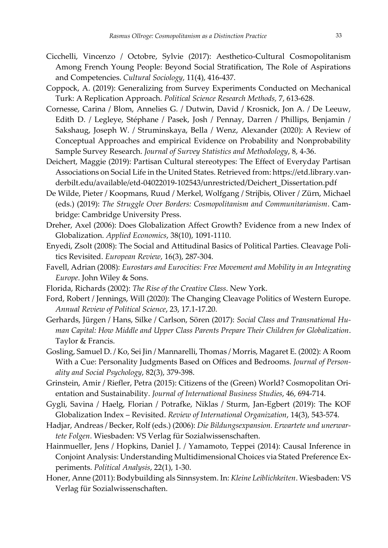- Cicchelli, Vincenzo / Octobre, Sylvie (2017): Aesthetico-Cultural Cosmopolitanism Among French Young People: Beyond Social Stratification, The Role of Aspirations and Competencies. *Cultural Sociology*, 11(4), 416-437.
- Coppock, A. (2019): Generalizing from Survey Experiments Conducted on Mechanical Turk: A Replication Approach. *Political Science Research Methods,* 7, 613-628.
- Cornesse, Carina / Blom, Annelies G. / Dutwin, David / Krosnick, Jon A. / De Leeuw, Edith D. / Legleye, Stéphane / Pasek, Josh / Pennay, Darren / Phillips, Benjamin / Sakshaug, Joseph W. / Struminskaya, Bella / Wenz, Alexander (2020): A Review of Conceptual Approaches and empirical Evidence on Probability and Nonprobability Sample Survey Research. *Journal of Survey Statistics and Methodology*, 8, 4-36.
- Deichert, Maggie (2019): Partisan Cultural stereotypes: The Effect of Everyday Partisan Associations on Social Life in the United States. Retrieved from: https://etd.library.vanderbilt.edu/available/etd-04022019-102543/unrestricted/Deichert\_Dissertation.pdf
- De Wilde, Pieter / Koopmans, Ruud / Merkel, Wolfgang / Strijbis, Oliver / Zürn, Michael (eds.) (2019): *The Struggle Over Borders: Cosmopolitanism and Communitarianism*. Cambridge: Cambridge University Press.
- Dreher, Axel (2006): Does Globalization Affect Growth? Evidence from a new Index of Globalization. *Applied Economics*, 38(10), 1091-1110.
- Enyedi, Zsolt (2008): The Social and Attitudinal Basics of Political Parties. Cleavage Politics Revisited. *European Review*, 16(3), 287-304.
- Favell, Adrian (2008): *Eurostars and Eurocities: Free Movement and Mobility in an Integrating Europe*. John Wiley & Sons.
- Florida, Richards (2002): *The Rise of the Creative Class*. New York.
- Ford, Robert / Jennings, Will (2020): The Changing Cleavage Politics of Western Europe. *Annual Review of Political Science*, 23, 17.1-17.20.
- Gerhards, Jürgen / Hans, Silke / Carlson, Sören (2017): *Social Class and Transnational Human Capital: How Middle and Upper Class Parents Prepare Their Children for Globalization*. Taylor & Francis.
- Gosling, Samuel D. / Ko, Sei Jin / Mannarelli, Thomas / Morris, Magaret E. (2002): A Room With a Cue: Personality Judgments Based on Offices and Bedrooms. *Journal of Personality and Social Psychology*, 82(3), 379-398.
- Grinstein, Amir / Riefler, Petra (2015): Citizens of the (Green) World? Cosmopolitan Orientation and Sustainability. *Journal of International Business Studies*, 46, 694-714.
- Gygli, Savina / Haelg, Florian / Potrafke, Niklas / Sturm, Jan-Egbert (2019): The KOF Globalization Index – Revisited. *Review of International Organization*, 14(3), 543-574.
- Hadjar, Andreas / Becker, Rolf (eds.) (2006): *Die Bildungsexpansion. Erwartete und unerwartete Folgen*. Wiesbaden: VS Verlag für Sozialwissenschaften.
- Hainmueller, Jens / Hopkins, Daniel J. / Yamamoto, Teppei (2014): Causal Inference in Conjoint Analysis: Understanding Multidimensional Choices via Stated Preference Experiments. *Political Analysis*, 22(1), 1-30.
- Honer, Anne (2011): Bodybuilding als Sinnsystem. In: *Kleine Leiblichkeiten*. Wiesbaden: VS Verlag für Sozialwissenschaften.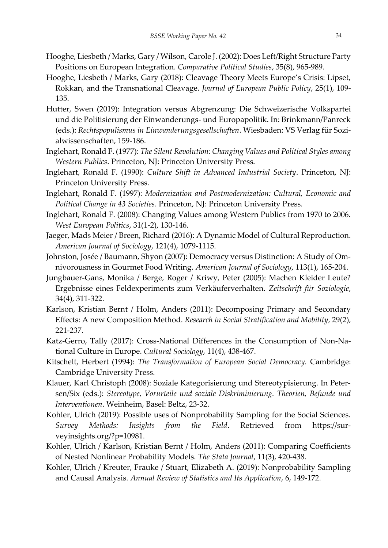- Hooghe, Liesbeth / Marks, Gary / Wilson, Carole J. (2002): Does Left/Right Structure Party Positions on European Integration. *Comparative Political Studies*, 35(8), 965-989.
- Hooghe, Liesbeth / Marks, Gary (2018): Cleavage Theory Meets Europe's Crisis: Lipset, Rokkan, and the Transnational Cleavage. *Journal of European Public Policy*, 25(1), 109- 135.
- Hutter, Swen (2019): Integration versus Abgrenzung: Die Schweizerische Volkspartei und die Politisierung der Einwanderungs- und Europapolitik. In: Brinkmann/Panreck (eds.): *Rechtspopulismus in Einwanderungsgesellschaften*. Wiesbaden: VS Verlag für Sozialwissenschaften, 159-186.
- Inglehart, Ronald F. (1977): *The Silent Revolution: Changing Values and Political Styles among Western Publics*. Princeton, NJ: Princeton University Press.
- Inglehart, Ronald F. (1990): *Culture Shift in Advanced Industrial Society*. Princeton, NJ: Princeton University Press.
- Inglehart, Ronald F. (1997): *Modernization and Postmodernization: Cultural, Economic and Political Change in 43 Societies*. Princeton, NJ: Princeton University Press.
- Inglehart, Ronald F. (2008): Changing Values among Western Publics from 1970 to 2006. *West European Politics*, 31(1-2), 130-146.
- Jaeger, Mads Meier / Breen, Richard (2016): A Dynamic Model of Cultural Reproduction. *American Journal of Sociology*, 121(4), 1079-1115.
- Johnston, Josée / Baumann, Shyon (2007): Democracy versus Distinction: A Study of Omnivorousness in Gourmet Food Writing. *American Journal of Sociology*, 113(1), 165-204.
- Jungbauer-Gans, Monika / Berge, Roger / Kriwy, Peter (2005): Machen Kleider Leute? Ergebnisse eines Feldexperiments zum Verkäuferverhalten. *Zeitschrift für Soziologie*, 34(4), 311-322.
- Karlson, Kristian Bernt / Holm, Anders (2011): Decomposing Primary and Secondary Effects: A new Composition Method. *Research in Social Stratification and Mobility*, 29(2), 221-237.
- Katz-Gerro, Tally (2017): Cross-National Differences in the Consumption of Non-National Culture in Europe. *Cultural Sociology*, 11(4), 438-467.
- Kitschelt, Herbert (1994): *The Transformation of European Social Democracy.* Cambridge: Cambridge University Press.
- Klauer, Karl Christoph (2008): Soziale Kategorisierung und Stereotypisierung. In Petersen/Six (eds.): *Stereotype, Vorurteile und soziale Diskriminierung. Theorien, Befunde und Interventionen*. Weinheim, Basel: Beltz, 23-32.
- Kohler, Ulrich (2019): Possible uses of Nonprobability Sampling for the Social Sciences. *Survey Methods: Insights from the Field*. Retrieved from https://surveyinsights.org/?p=10981.
- Kohler, Ulrich / Karlson, Kristian Bernt / Holm, Anders (2011): Comparing Coefficients of Nested Nonlinear Probability Models. *The Stata Journal*, 11(3), 420-438.
- Kohler, Ulrich / Kreuter, Frauke / Stuart, Elizabeth A. (2019): Nonprobability Sampling and Causal Analysis. *Annual Review of Statistics and Its Application*, 6, 149-172.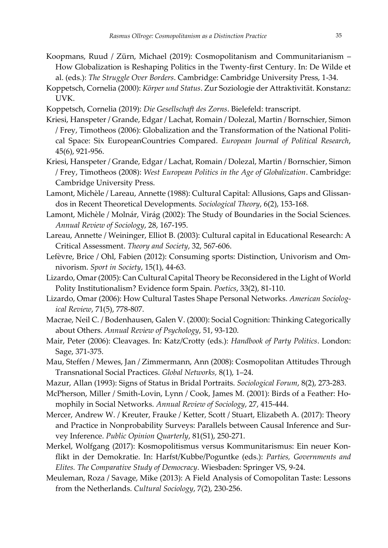- Koopmans, Ruud / Zürn, Michael (2019): Cosmopolitanism and Communitarianism How Globalization is Reshaping Politics in the Twenty-first Century. In: De Wilde et al. (eds.): *The Struggle Over Borders*. Cambridge: Cambridge University Press, 1-34.
- Koppetsch, Cornelia (2000): *Körper und Status*. Zur Soziologie der Attraktivität. Konstanz: UVK.
- Koppetsch, Cornelia (2019): *Die Gesellschaft des Zorns*. Bielefeld: transcript.
- Kriesi, Hanspeter / Grande, Edgar / Lachat, Romain / Dolezal, Martin / Bornschier, Simon / Frey, Timotheos (2006): Globalization and the Transformation of the National Political Space: Six EuropeanCountries Compared. *European Journal of Political Research*, 45(6), 921-956.
- Kriesi, Hanspeter / Grande, Edgar / Lachat, Romain / Dolezal, Martin / Bornschier, Simon / Frey, Timotheos (2008): *West European Politics in the Age of Globalization*. Cambridge: Cambridge University Press.
- Lamont, Michèle / Lareau, Annette (1988): Cultural Capital: Allusions, Gaps and Glissandos in Recent Theoretical Developments. *Sociological Theory*, 6(2), 153-168.
- Lamont, Michèle / Molnár, Virág (2002): The Study of Boundaries in the Social Sciences. *Annual Review of Sociology*, 28, 167-195.
- Lareau, Annette / Weininger, Elliot B. (2003): Cultural capital in Educational Research: A Critical Assessment. *Theory and Society*, 32, 567-606.
- Lefèvre, Brice / Ohl, Fabien (2012): Consuming sports: Distinction, Univorism and Omnivorism. *Sport in Society*, 15(1), 44-63.
- Lizardo, Omar (2005): Can Cultural Capital Theory be Reconsidered in the Light of World Polity Institutionalism? Evidence form Spain. *Poetics*, 33(2), 81-110.
- Lizardo, Omar (2006): How Cultural Tastes Shape Personal Networks. *American Sociological Review*, 71(5), 778-807.
- Macrae, Neil C. / Bodenhausen, Galen V. (2000): Social Cognition: Thinking Categorically about Others. *Annual Review of Psychology*, 51, 93-120.
- Mair, Peter (2006): Cleavages. In: Katz/Crotty (eds.): *Handbook of Party Politics*. London: Sage, 371-375.
- Mau, Steffen / Mewes, Jan / Zimmermann, Ann (2008): Cosmopolitan Attitudes Through Transnational Social Practices. *Global Networks,* 8(1), 1–24.
- Mazur, Allan (1993): Signs of Status in Bridal Portraits. *Sociological Forum*, 8(2), 273-283.
- McPherson, Miller / Smith-Lovin, Lynn / Cook, James M. (2001): Birds of a Feather: Homophily in Social Networks. *Annual Review of Sociology*, 27, 415-444.
- Mercer, Andrew W. / Kreuter, Frauke / Ketter, Scott / Stuart, Elizabeth A. (2017): Theory and Practice in Nonprobability Surveys: Parallels between Causal Inference and Survey Inference. *Public Opinion Quarterly*, 81(S1), 250-271.
- Merkel, Wolfgang (2017): Kosmopolitismus versus Kommunitarismus: Ein neuer Konflikt in der Demokratie. In: Harfst/Kubbe/Poguntke (eds.): *Parties, Governments and Elites. The Comparative Study of Democracy*. Wiesbaden: Springer VS, 9-24.
- Meuleman, Roza / Savage, Mike (2013): A Field Analysis of Comopolitan Taste: Lessons from the Netherlands. *Cultural Sociology*, 7(2), 230-256.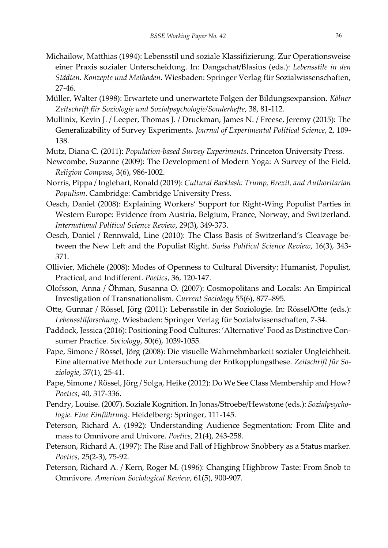- Michailow, Matthias (1994): Lebensstil und soziale Klassifizierung. Zur Operationsweise einer Praxis sozialer Unterscheidung. In: Dangschat/Blasius (eds.): *Lebensstile in den Städten. Konzepte und Methoden*. Wiesbaden: Springer Verlag für Sozialwissenschaften, 27-46.
- Müller, Walter (1998): Erwartete und unerwartete Folgen der Bildungsexpansion*. Kölner Zeitschrift für Soziologie und Sozialpsychologie/Sonderhefte*, 38, 81-112.
- Mullinix, Kevin J. / Leeper, Thomas J. / Druckman, James N. / Freese, Jeremy (2015): The Generalizability of Survey Experiments. *Journal of Experimental Political Science*, 2, 109- 138.
- Mutz, Diana C. (2011): *Population-based Survey Experiments*. Princeton University Press.
- Newcombe, Suzanne (2009): The Development of Modern Yoga: A Survey of the Field. *Religion Compass*, 3(6), 986-1002.
- Norris, Pippa / Inglehart, Ronald (2019): *Cultural Backlash: Trump, Brexit, and Authoritarian Populism*. Cambridge: Cambridge University Press.
- Oesch, Daniel (2008): Explaining Workers' Support for Right-Wing Populist Parties in Western Europe: Evidence from Austria, Belgium, France, Norway, and Switzerland. *International Political Science Review*, 29(3), 349-373.
- Oesch, Daniel / Rennwald, Line (2010): The Class Basis of Switzerland's Cleavage between the New Left and the Populist Right. *Swiss Political Science Review*, 16(3), 343- 371.
- Ollivier, Michèle (2008): Modes of Openness to Cultural Diversity: Humanist, Populist, Practical, and Indifferent. *Poetics*, 36, 120-147.
- Olofsson, Anna / Öhman, Susanna O. (2007): Cosmopolitans and Locals: An Empirical Investigation of Transnationalism. *Current Sociology* 55(6), 877–895.
- Otte, Gunnar / Rössel, Jörg (2011): Lebensstile in der Soziologie. In: Rössel/Otte (eds.): *Lebensstilforschung*. Wiesbaden: Springer Verlag für Sozialwissenschaften, 7-34.
- Paddock, Jessica (2016): Positioning Food Cultures: 'Alternative' Food as Distinctive Consumer Practice. *Sociology*, 50(6), 1039-1055.
- Pape, Simone / Rössel, Jörg (2008): Die visuelle Wahrnehmbarkeit sozialer Ungleichheit. Eine alternative Methode zur Untersuchung der Entkopplungsthese. *Zeitschrift für Soziologie*, 37(1), 25-41.
- Pape, Simone / Rössel, Jörg / Solga, Heike (2012): Do We See Class Membership and How? *Poetics*, 40, 317-336.
- Pendry, Louise. (2007). Soziale Kognition. In Jonas/Stroebe/Hewstone (eds.): *Sozialpsychologie. Eine Einführung*. Heidelberg: Springer, 111-145.
- Peterson, Richard A. (1992): Understanding Audience Segmentation: From Elite and mass to Omnivore and Univore. *Poetics,* 21(4), 243-258.
- Peterson, Richard A. (1997): The Rise and Fall of Highbrow Snobbery as a Status marker. *Poetics,* 25(2-3), 75-92.
- Peterson, Richard A. / Kern, Roger M. (1996): Changing Highbrow Taste: From Snob to Omnivore. *American Sociological Review*, 61(5), 900-907.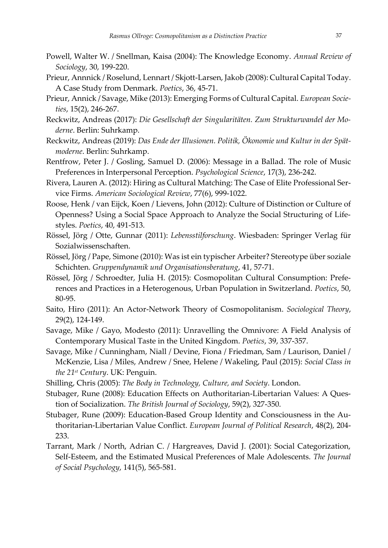- Powell, Walter W. / Snellman, Kaisa (2004): The Knowledge Economy. *Annual Review of Sociology*, 30, 199-220.
- Prieur, Annnick / Roselund, Lennart / Skjott-Larsen, Jakob (2008): Cultural Capital Today. A Case Study from Denmark. *Poetics*, 36, 45-71.
- Prieur, Annick / Savage, Mike (2013): Emerging Forms of Cultural Capital. *European Societies*, 15(2), 246-267.
- Reckwitz, Andreas (2017): *Die Gesellschaft der Singularitäten. Zum Strukturwandel der Moderne*. Berlin: Suhrkamp.
- Reckwitz, Andreas (2019): *Das Ende der Illusionen. Politik, Ökonomie und Kultur in der Spätmoderne*. Berlin: Suhrkamp.
- Rentfrow, Peter J. / Gosling, Samuel D. (2006): Message in a Ballad. The role of Music Preferences in Interpersonal Perception. *Psychological Science*, 17(3), 236-242.
- Rivera, Lauren A. (2012): Hiring as Cultural Matching: The Case of Elite Professional Service Firms. *American Sociological Review*, 77(6), 999-1022.
- Roose, Henk / van Eijck, Koen / Lievens, John (2012): Culture of Distinction or Culture of Openness? Using a Social Space Approach to Analyze the Social Structuring of Lifestyles. *Poetics*, 40, 491-513.
- Rössel, Jörg / Otte, Gunnar (2011): *Lebensstilforschung*. Wiesbaden: Springer Verlag für Sozialwissenschaften.
- Rössel, Jörg / Pape, Simone (2010): Was ist ein typischer Arbeiter? Stereotype über soziale Schichten. *Gruppendynamik und Organisationsberatung*, 41, 57-71.
- Rössel, Jörg / Schroedter, Julia H. (2015): Cosmopolitan Cultural Consumption: Preferences and Practices in a Heterogenous, Urban Population in Switzerland. *Poetics*, 50, 80-95.
- Saito, Hiro (2011): An Actor-Network Theory of Cosmopolitanism. *Sociological Theory*, 29(2), 124-149.
- Savage, Mike / Gayo, Modesto (2011): Unravelling the Omnivore: A Field Analysis of Contemporary Musical Taste in the United Kingdom. *Poetics*, 39, 337-357.
- Savage, Mike / Cunningham, Niall / Devine, Fiona / Friedman, Sam / Laurison, Daniel / McKenzie, Lisa / Miles, Andrew / Snee, Helene / Wakeling, Paul (2015): *Social Class in the 21st Century*. UK: Penguin.
- Shilling, Chris (2005): *The Body in Technology, Culture, and Society*. London.
- Stubager, Rune (2008): Education Effects on Authoritarian-Libertarian Values: A Question of Socialization. *The British Journal of Sociology*, 59(2), 327-350.
- Stubager, Rune (2009): Education-Based Group Identity and Consciousness in the Authoritarian-Libertarian Value Conflict. *European Journal of Political Research*, 48(2), 204- 233.
- Tarrant, Mark / North, Adrian C. / Hargreaves, David J. (2001): Social Categorization, Self-Esteem, and the Estimated Musical Preferences of Male Adolescents. *The Journal of Social Psychology*, 141(5), 565-581.